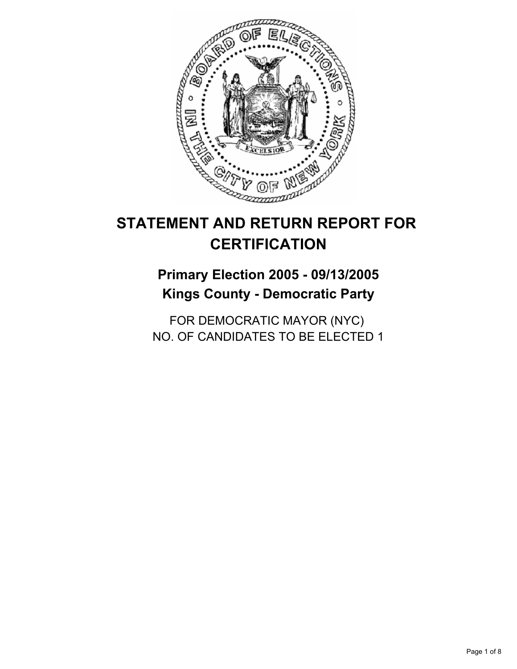

# **STATEMENT AND RETURN REPORT FOR CERTIFICATION**

## **Primary Election 2005 - 09/13/2005 Kings County - Democratic Party**

FOR DEMOCRATIC MAYOR (NYC) NO. OF CANDIDATES TO BE ELECTED 1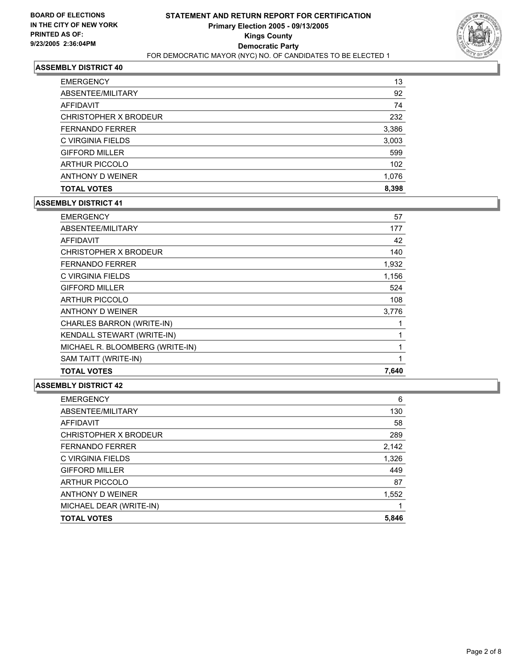

| <b>EMERGENCY</b>       | 13    |
|------------------------|-------|
| ABSENTEE/MILITARY      | 92    |
| AFFIDAVIT              | 74    |
| CHRISTOPHER X BRODEUR  | 232   |
| <b>FERNANDO FERRER</b> | 3,386 |
| C VIRGINIA FIELDS      | 3,003 |
| <b>GIFFORD MILLER</b>  | 599   |
| <b>ARTHUR PICCOLO</b>  | 102   |
| ANTHONY D WEINER       | 1,076 |
| <b>TOTAL VOTES</b>     | 8,398 |

## **ASSEMBLY DISTRICT 41**

| <b>EMERGENCY</b>                | 57    |
|---------------------------------|-------|
| ABSENTEE/MILITARY               | 177   |
| AFFIDAVIT                       | 42    |
| CHRISTOPHER X BRODEUR           | 140   |
| <b>FERNANDO FERRER</b>          | 1,932 |
| C VIRGINIA FIELDS               | 1,156 |
| <b>GIFFORD MILLER</b>           | 524   |
| <b>ARTHUR PICCOLO</b>           | 108   |
| ANTHONY D WEINER                | 3,776 |
| CHARLES BARRON (WRITE-IN)       |       |
| KENDALL STEWART (WRITE-IN)      |       |
| MICHAEL R. BLOOMBERG (WRITE-IN) |       |
| SAM TAITT (WRITE-IN)            |       |
| <b>TOTAL VOTES</b>              | 7,640 |

| <b>EMERGENCY</b>        | 6     |
|-------------------------|-------|
| ABSENTEE/MILITARY       | 130   |
| <b>AFFIDAVIT</b>        | 58    |
| CHRISTOPHER X BRODEUR   | 289   |
| <b>FERNANDO FERRER</b>  | 2,142 |
| C VIRGINIA FIELDS       | 1,326 |
| <b>GIFFORD MILLER</b>   | 449   |
| <b>ARTHUR PICCOLO</b>   | 87    |
| ANTHONY D WEINER        | 1,552 |
| MICHAEL DEAR (WRITE-IN) |       |
| <b>TOTAL VOTES</b>      | 5,846 |
|                         |       |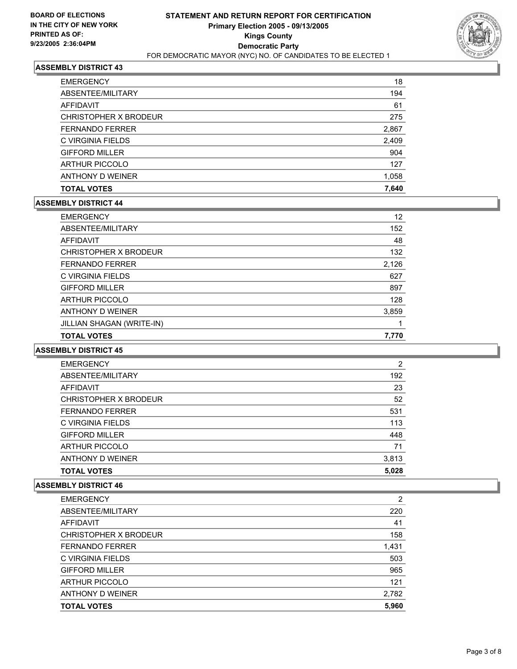

| <b>TOTAL VOTES</b>     | 7,640 |
|------------------------|-------|
| ANTHONY D WEINER       | 1,058 |
| <b>ARTHUR PICCOLO</b>  | 127   |
| <b>GIFFORD MILLER</b>  | 904   |
| C VIRGINIA FIELDS      | 2,409 |
| <b>FERNANDO FERRER</b> | 2,867 |
| CHRISTOPHER X BRODEUR  | 275   |
| AFFIDAVIT              | 61    |
| ABSENTEE/MILITARY      | 194   |
| <b>EMERGENCY</b>       | 18    |

### **ASSEMBLY DISTRICT 44**

| <b>EMERGENCY</b>          | 12    |
|---------------------------|-------|
| ABSENTEE/MILITARY         | 152   |
| AFFIDAVIT                 | 48    |
| CHRISTOPHER X BRODEUR     | 132   |
| <b>FERNANDO FERRER</b>    | 2,126 |
| C VIRGINIA FIELDS         | 627   |
| <b>GIFFORD MILLER</b>     | 897   |
| <b>ARTHUR PICCOLO</b>     | 128   |
| ANTHONY D WEINER          | 3,859 |
| JILLIAN SHAGAN (WRITE-IN) |       |
| <b>TOTAL VOTES</b>        | 7,770 |

#### **ASSEMBLY DISTRICT 45**

| <b>EMERGENCY</b>       | 2     |
|------------------------|-------|
| ABSENTEE/MILITARY      | 192   |
| AFFIDAVIT              | 23    |
| CHRISTOPHER X BRODEUR  | 52    |
| <b>FERNANDO FERRER</b> | 531   |
| C VIRGINIA FIELDS      | 113   |
| <b>GIFFORD MILLER</b>  | 448   |
| <b>ARTHUR PICCOLO</b>  | 71    |
| ANTHONY D WEINER       | 3,813 |
| <b>TOTAL VOTES</b>     | 5,028 |

| <b>EMERGENCY</b>       | 2     |
|------------------------|-------|
| ABSENTEE/MILITARY      | 220   |
| AFFIDAVIT              | 41    |
| CHRISTOPHER X BRODEUR  | 158   |
| <b>FERNANDO FERRER</b> | 1,431 |
| C VIRGINIA FIELDS      | 503   |
| <b>GIFFORD MILLER</b>  | 965   |
| <b>ARTHUR PICCOLO</b>  | 121   |
| ANTHONY D WEINER       | 2,782 |
| <b>TOTAL VOTES</b>     | 5,960 |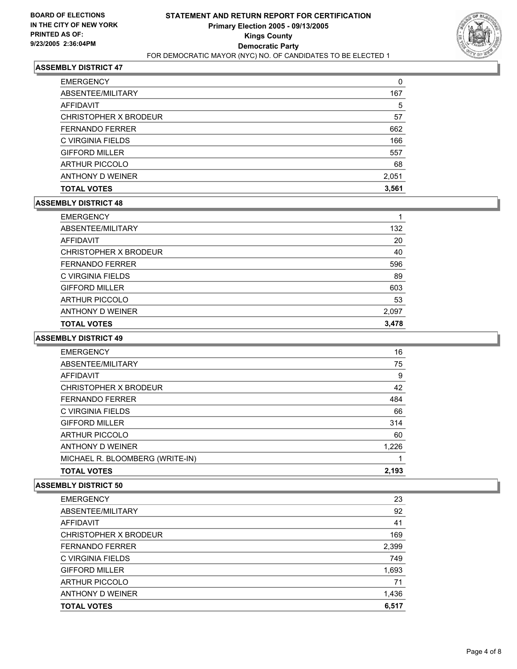

| <b>EMERGENCY</b>       | 0     |
|------------------------|-------|
| ABSENTEE/MILITARY      | 167   |
| AFFIDAVIT              | 5     |
| CHRISTOPHER X BRODEUR  | 57    |
| <b>FERNANDO FERRER</b> | 662   |
| C VIRGINIA FIELDS      | 166   |
| <b>GIFFORD MILLER</b>  | 557   |
| <b>ARTHUR PICCOLO</b>  | 68    |
| ANTHONY D WEINER       | 2,051 |
| <b>TOTAL VOTES</b>     | 3,561 |

## **ASSEMBLY DISTRICT 48**

| <b>EMERGENCY</b>       |       |
|------------------------|-------|
| ABSENTEE/MILITARY      | 132   |
| AFFIDAVIT              | 20    |
| CHRISTOPHER X BRODEUR  | 40    |
| <b>FERNANDO FERRER</b> | 596   |
| C VIRGINIA FIELDS      | 89    |
| <b>GIFFORD MILLER</b>  | 603   |
| <b>ARTHUR PICCOLO</b>  | 53    |
| ANTHONY D WEINER       | 2,097 |
| <b>TOTAL VOTES</b>     | 3,478 |

#### **ASSEMBLY DISTRICT 49**

| <b>EMERGENCY</b>                | 16    |
|---------------------------------|-------|
| ABSENTEE/MILITARY               | 75    |
| <b>AFFIDAVIT</b>                | 9     |
| CHRISTOPHER X BRODEUR           | 42    |
| <b>FERNANDO FERRER</b>          | 484   |
| C VIRGINIA FIELDS               | 66    |
| <b>GIFFORD MILLER</b>           | 314   |
| <b>ARTHUR PICCOLO</b>           | 60    |
| ANTHONY D WEINER                | 1,226 |
| MICHAEL R. BLOOMBERG (WRITE-IN) |       |
| <b>TOTAL VOTES</b>              | 2,193 |

| <b>EMERGENCY</b>       | 23    |
|------------------------|-------|
| ABSENTEE/MILITARY      | 92    |
| AFFIDAVIT              | 41    |
| CHRISTOPHER X BRODEUR  | 169   |
| <b>FERNANDO FERRER</b> | 2,399 |
| C VIRGINIA FIELDS      | 749   |
| <b>GIFFORD MILLER</b>  | 1,693 |
| <b>ARTHUR PICCOLO</b>  | 71    |
| ANTHONY D WEINER       | 1,436 |
| <b>TOTAL VOTES</b>     | 6,517 |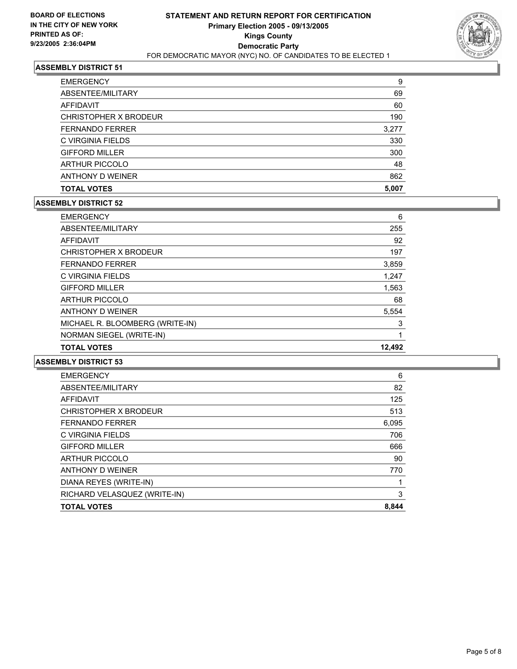

| <b>EMERGENCY</b>       | 9     |
|------------------------|-------|
| ABSENTEE/MILITARY      | 69    |
| AFFIDAVIT              | 60    |
| CHRISTOPHER X BRODEUR  | 190   |
| <b>FERNANDO FERRER</b> | 3,277 |
| C VIRGINIA FIELDS      | 330   |
| <b>GIFFORD MILLER</b>  | 300   |
| <b>ARTHUR PICCOLO</b>  | 48    |
| ANTHONY D WEINER       | 862   |
| <b>TOTAL VOTES</b>     | 5,007 |

## **ASSEMBLY DISTRICT 52**

| <b>EMERGENCY</b>                | 6      |
|---------------------------------|--------|
| ABSENTEE/MILITARY               | 255    |
| AFFIDAVIT                       | 92     |
| CHRISTOPHER X BRODEUR           | 197    |
| <b>FERNANDO FERRER</b>          | 3,859  |
| C VIRGINIA FIELDS               | 1,247  |
| <b>GIFFORD MILLER</b>           | 1,563  |
| <b>ARTHUR PICCOLO</b>           | 68     |
| ANTHONY D WEINER                | 5,554  |
| MICHAEL R. BLOOMBERG (WRITE-IN) | 3      |
| NORMAN SIEGEL (WRITE-IN)        |        |
| <b>TOTAL VOTES</b>              | 12.492 |

| <b>EMERGENCY</b>             | 6     |
|------------------------------|-------|
| ABSENTEE/MILITARY            | 82    |
| AFFIDAVIT                    | 125   |
| CHRISTOPHER X BRODEUR        | 513   |
| <b>FERNANDO FERRER</b>       | 6,095 |
| C VIRGINIA FIELDS            | 706   |
| <b>GIFFORD MILLER</b>        | 666   |
| <b>ARTHUR PICCOLO</b>        | 90    |
| ANTHONY D WEINER             | 770   |
| DIANA REYES (WRITE-IN)       |       |
| RICHARD VELASQUEZ (WRITE-IN) | 3     |
| <b>TOTAL VOTES</b>           | 8,844 |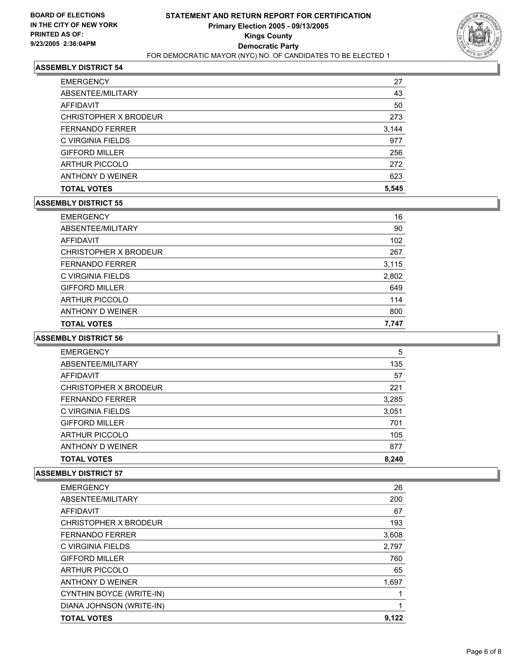

| <b>TOTAL VOTES</b>     | 5,545 |
|------------------------|-------|
| ANTHONY D WEINER       | 623   |
| <b>ARTHUR PICCOLO</b>  | 272   |
| <b>GIFFORD MILLER</b>  | 256   |
| C VIRGINIA FIELDS      | 977   |
| <b>FERNANDO FERRER</b> | 3,144 |
| CHRISTOPHER X BRODEUR  | 273   |
| AFFIDAVIT              | 50    |
| ABSENTEE/MILITARY      | 43    |
| <b>EMERGENCY</b>       | 27    |

### **ASSEMBLY DISTRICT 55**

| <b>EMERGENCY</b>       | 16    |
|------------------------|-------|
| ABSENTEE/MILITARY      | 90    |
| AFFIDAVIT              | 102   |
| CHRISTOPHER X BRODEUR  | 267   |
| <b>FERNANDO FERRER</b> | 3,115 |
| C VIRGINIA FIELDS      | 2,802 |
| <b>GIFFORD MILLER</b>  | 649   |
| <b>ARTHUR PICCOLO</b>  | 114   |
| ANTHONY D WEINER       | 800   |
| <b>TOTAL VOTES</b>     | 7,747 |

### **ASSEMBLY DISTRICT 56**

| <b>EMERGENCY</b>       | 5     |
|------------------------|-------|
| ABSENTEE/MILITARY      | 135   |
| AFFIDAVIT              | 57    |
| CHRISTOPHER X BRODEUR  | 221   |
| <b>FERNANDO FERRER</b> | 3,285 |
| C VIRGINIA FIELDS      | 3,051 |
| <b>GIFFORD MILLER</b>  | 701   |
| <b>ARTHUR PICCOLO</b>  | 105   |
| ANTHONY D WEINER       | 877   |
| <b>TOTAL VOTES</b>     | 8,240 |

| <b>EMERGENCY</b>         | 26    |
|--------------------------|-------|
| ABSENTEE/MILITARY        | 200   |
| <b>AFFIDAVIT</b>         | 67    |
| CHRISTOPHER X BRODEUR    | 193   |
| <b>FERNANDO FERRER</b>   | 3,608 |
| C VIRGINIA FIELDS        | 2,797 |
| <b>GIFFORD MILLER</b>    | 760   |
| <b>ARTHUR PICCOLO</b>    | 65    |
| ANTHONY D WEINER         | 1,697 |
| CYNTHIN BOYCE (WRITE-IN) |       |
| DIANA JOHNSON (WRITE-IN) |       |
| <b>TOTAL VOTES</b>       | 9,122 |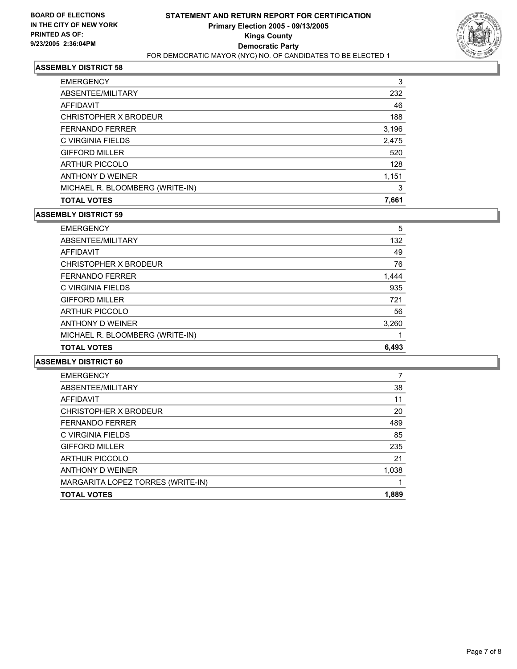

| 3     |
|-------|
| 232   |
| 46    |
| 188   |
| 3,196 |
| 2,475 |
| 520   |
| 128   |
| 1,151 |
| 3     |
| 7,661 |
|       |

## **ASSEMBLY DISTRICT 59**

| <b>TOTAL VOTES</b>              | 6,493 |
|---------------------------------|-------|
| MICHAEL R. BLOOMBERG (WRITE-IN) |       |
| ANTHONY D WEINER                | 3,260 |
| <b>ARTHUR PICCOLO</b>           | 56    |
| <b>GIFFORD MILLER</b>           | 721   |
| C VIRGINIA FIELDS               | 935   |
| <b>FERNANDO FERRER</b>          | 1,444 |
| CHRISTOPHER X BRODEUR           | 76    |
| AFFIDAVIT                       | 49    |
| ABSENTEE/MILITARY               | 132   |
| <b>EMERGENCY</b>                | 5     |

| <b>EMERGENCY</b>                  |       |
|-----------------------------------|-------|
| ABSENTEE/MILITARY                 | 38    |
| AFFIDAVIT                         | 11    |
| CHRISTOPHER X BRODEUR             | 20    |
| <b>FERNANDO FERRER</b>            | 489   |
| C VIRGINIA FIELDS                 | 85    |
| <b>GIFFORD MILLER</b>             | 235   |
| <b>ARTHUR PICCOLO</b>             | 21    |
| ANTHONY D WEINER                  | 1,038 |
| MARGARITA LOPEZ TORRES (WRITE-IN) |       |
| <b>TOTAL VOTES</b>                | 1,889 |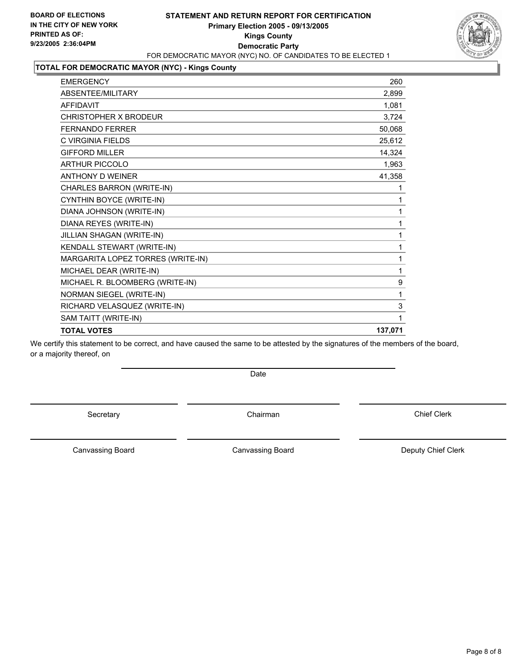## **STATEMENT AND RETURN REPORT FOR CERTIFICATION Primary Election 2005 - 09/13/2005 Kings County Democratic Party** FOR DEMOCRATIC MAYOR (NYC) NO. OF CANDIDATES TO BE ELECTED 1



### **TOTAL FOR DEMOCRATIC MAYOR (NYC) - Kings County**

| <b>TOTAL VOTES</b>                | 137,071 |
|-----------------------------------|---------|
| SAM TAITT (WRITE-IN)              |         |
| RICHARD VELASQUEZ (WRITE-IN)      | 3       |
| NORMAN SIEGEL (WRITE-IN)          | 1       |
| MICHAEL R. BLOOMBERG (WRITE-IN)   | 9       |
| MICHAEL DEAR (WRITE-IN)           |         |
| MARGARITA LOPEZ TORRES (WRITE-IN) |         |
| KENDALL STEWART (WRITE-IN)        |         |
| JILLIAN SHAGAN (WRITE-IN)         |         |
| DIANA REYES (WRITE-IN)            |         |
| DIANA JOHNSON (WRITE-IN)          |         |
| CYNTHIN BOYCE (WRITE-IN)          |         |
| CHARLES BARRON (WRITE-IN)         |         |
| <b>ANTHONY D WEINER</b>           | 41,358  |
| <b>ARTHUR PICCOLO</b>             | 1,963   |
| <b>GIFFORD MILLER</b>             | 14,324  |
| C VIRGINIA FIELDS                 | 25,612  |
| <b>FERNANDO FERRER</b>            | 50,068  |
| CHRISTOPHER X BRODEUR             | 3,724   |
| <b>AFFIDAVIT</b>                  | 1,081   |
| ABSENTEE/MILITARY                 | 2,899   |
| <b>EMERGENCY</b>                  | 260     |

We certify this statement to be correct, and have caused the same to be attested by the signatures of the members of the board, or a majority thereof, on

Date

Secretary **Chairman** 

Chief Clerk

Canvassing Board

Canvassing Board **Canvassing Board** Canvassing Board **Deputy Chief Clerk**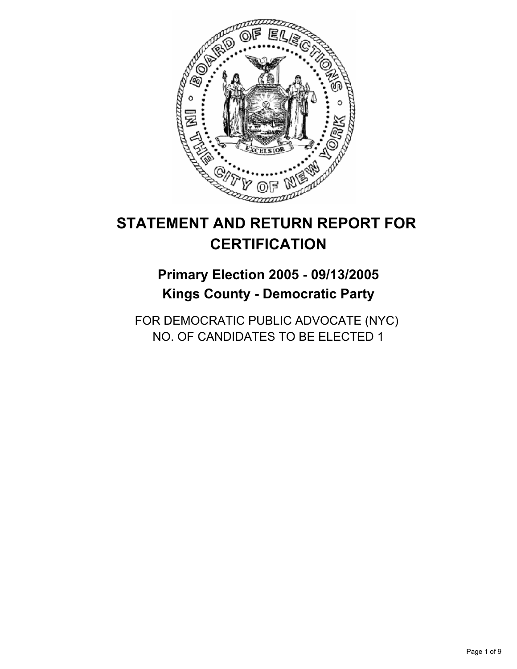

## **STATEMENT AND RETURN REPORT FOR CERTIFICATION**

## **Primary Election 2005 - 09/13/2005 Kings County - Democratic Party**

FOR DEMOCRATIC PUBLIC ADVOCATE (NYC) NO. OF CANDIDATES TO BE ELECTED 1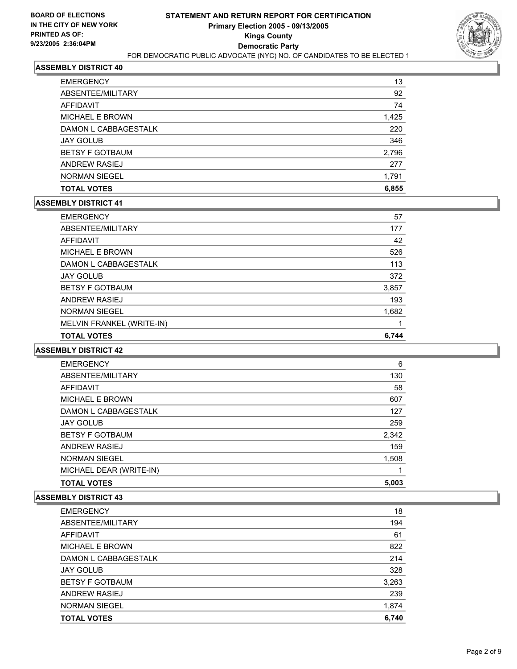

| <b>TOTAL VOTES</b>     | 6,855 |
|------------------------|-------|
| <b>NORMAN SIEGEL</b>   | 1,791 |
| <b>ANDREW RASIEJ</b>   | 277   |
| <b>BETSY F GOTBAUM</b> | 2,796 |
| <b>JAY GOLUB</b>       | 346   |
| DAMON L CABBAGESTALK   | 220   |
| <b>MICHAEL E BROWN</b> | 1,425 |
| AFFIDAVIT              | 74    |
| ABSENTEE/MILITARY      | 92    |
| <b>EMERGENCY</b>       | 13    |

#### **ASSEMBLY DISTRICT 41**

| <b>EMERGENCY</b>          | 57    |
|---------------------------|-------|
| ABSENTEE/MILITARY         | 177   |
| AFFIDAVIT                 | 42    |
| MICHAEL E BROWN           | 526   |
| DAMON L CABBAGESTALK      | 113   |
| <b>JAY GOLUB</b>          | 372   |
| <b>BETSY F GOTBAUM</b>    | 3,857 |
| ANDREW RASIEJ             | 193   |
| <b>NORMAN SIEGEL</b>      | 1,682 |
| MELVIN FRANKEL (WRITE-IN) |       |
| <b>TOTAL VOTES</b>        | 6.744 |

#### **ASSEMBLY DISTRICT 42**

| <b>EMERGENCY</b>        | 6     |
|-------------------------|-------|
| ABSENTEE/MILITARY       | 130   |
| AFFIDAVIT               | 58    |
| <b>MICHAEL E BROWN</b>  | 607   |
| DAMON L CABBAGESTALK    | 127   |
| <b>JAY GOLUB</b>        | 259   |
| <b>BETSY F GOTBAUM</b>  | 2,342 |
| ANDREW RASIEJ           | 159   |
| <b>NORMAN SIEGEL</b>    | 1,508 |
| MICHAEL DEAR (WRITE-IN) |       |
| <b>TOTAL VOTES</b>      | 5,003 |

| <b>EMERGENCY</b>       | 18    |
|------------------------|-------|
| ABSENTEE/MILITARY      | 194   |
| AFFIDAVIT              | 61    |
| <b>MICHAEL E BROWN</b> | 822   |
| DAMON L CABBAGESTALK   | 214   |
| <b>JAY GOLUB</b>       | 328   |
| <b>BETSY F GOTBAUM</b> | 3,263 |
| ANDREW RASIEJ          | 239   |
| <b>NORMAN SIEGEL</b>   | 1,874 |
| <b>TOTAL VOTES</b>     | 6,740 |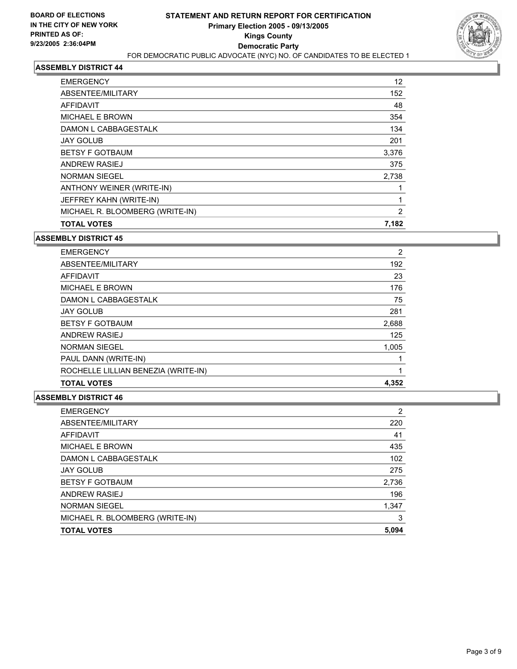

| <b>EMERGENCY</b>                | 12    |  |
|---------------------------------|-------|--|
| ABSENTEE/MILITARY               | 152   |  |
| AFFIDAVIT                       | 48    |  |
| <b>MICHAEL E BROWN</b>          | 354   |  |
| DAMON L CABBAGESTALK            | 134   |  |
| <b>JAY GOLUB</b>                | 201   |  |
| <b>BETSY F GOTBAUM</b>          | 3,376 |  |
| <b>ANDREW RASIEJ</b>            | 375   |  |
| <b>NORMAN SIEGEL</b>            | 2,738 |  |
| ANTHONY WEINER (WRITE-IN)       |       |  |
| JEFFREY KAHN (WRITE-IN)         |       |  |
| MICHAEL R. BLOOMBERG (WRITE-IN) | 2     |  |
| <b>TOTAL VOTES</b>              | 7,182 |  |

#### **ASSEMBLY DISTRICT 45**

| <b>EMERGENCY</b>                    | 2     |
|-------------------------------------|-------|
| ABSENTEE/MILITARY                   | 192   |
| <b>AFFIDAVIT</b>                    | 23    |
| <b>MICHAEL E BROWN</b>              | 176   |
| DAMON L CABBAGESTALK                | 75    |
| <b>JAY GOLUB</b>                    | 281   |
| <b>BETSY F GOTBAUM</b>              | 2,688 |
| <b>ANDREW RASIEJ</b>                | 125   |
| <b>NORMAN SIEGEL</b>                | 1,005 |
| PAUL DANN (WRITE-IN)                |       |
| ROCHELLE LILLIAN BENEZIA (WRITE-IN) |       |
| <b>TOTAL VOTES</b>                  | 4,352 |

| <b>EMERGENCY</b>                | 2     |
|---------------------------------|-------|
| ABSENTEE/MILITARY               | 220   |
| AFFIDAVIT                       | 41    |
| <b>MICHAEL E BROWN</b>          | 435   |
| DAMON L CABBAGESTALK            | 102   |
| <b>JAY GOLUB</b>                | 275   |
| <b>BETSY F GOTBAUM</b>          | 2,736 |
| <b>ANDREW RASIEJ</b>            | 196   |
| <b>NORMAN SIEGEL</b>            | 1,347 |
| MICHAEL R. BLOOMBERG (WRITE-IN) | 3     |
| <b>TOTAL VOTES</b>              | 5,094 |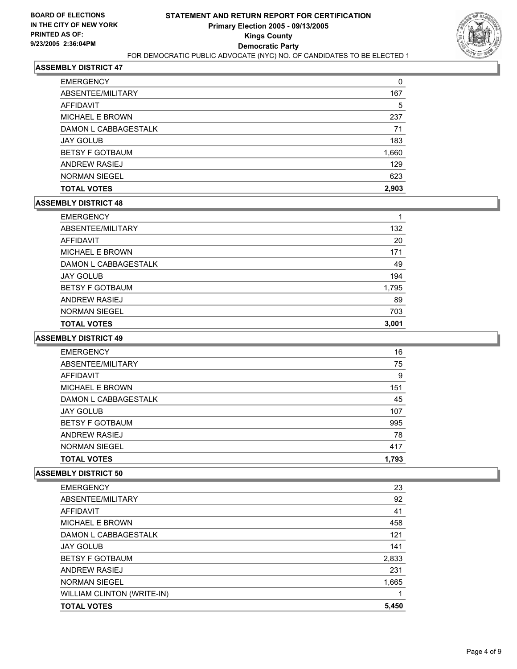

| <b>TOTAL VOTES</b>     | 2,903 |
|------------------------|-------|
| <b>NORMAN SIEGEL</b>   | 623   |
| ANDREW RASIEJ          | 129   |
| <b>BETSY F GOTBAUM</b> | 1,660 |
| <b>JAY GOLUB</b>       | 183   |
| DAMON L CABBAGESTALK   | 71    |
| <b>MICHAEL E BROWN</b> | 237   |
| AFFIDAVIT              | 5     |
| ABSENTEE/MILITARY      | 167   |
| <b>EMERGENCY</b>       |       |

### **ASSEMBLY DISTRICT 48**

| <b>EMERGENCY</b>       |       |
|------------------------|-------|
| ABSENTEE/MILITARY      | 132   |
| AFFIDAVIT              | 20    |
| MICHAEL E BROWN        | 171   |
| DAMON L CABBAGESTALK   | 49    |
| <b>JAY GOLUB</b>       | 194   |
| <b>BETSY F GOTBAUM</b> | 1,795 |
| <b>ANDREW RASIEJ</b>   | 89    |
| <b>NORMAN SIEGEL</b>   | 703   |
| <b>TOTAL VOTES</b>     | 3,001 |

#### **ASSEMBLY DISTRICT 49**

| <b>EMERGENCY</b>       | 16    |  |
|------------------------|-------|--|
| ABSENTEE/MILITARY      | 75    |  |
| <b>AFFIDAVIT</b>       | 9     |  |
| <b>MICHAEL E BROWN</b> | 151   |  |
| DAMON L CABBAGESTALK   | 45    |  |
| <b>JAY GOLUB</b>       | 107   |  |
| <b>BETSY F GOTBAUM</b> | 995   |  |
| ANDREW RASIEJ          | 78    |  |
| <b>NORMAN SIEGEL</b>   | 417   |  |
| <b>TOTAL VOTES</b>     | 1,793 |  |

| <b>TOTAL VOTES</b>         | 5,450 |
|----------------------------|-------|
| WILLIAM CLINTON (WRITE-IN) |       |
| <b>NORMAN SIEGEL</b>       | 1,665 |
| ANDREW RASIEJ              | 231   |
| <b>BETSY F GOTBAUM</b>     | 2,833 |
| <b>JAY GOLUB</b>           | 141   |
| DAMON L CABBAGESTALK       | 121   |
| <b>MICHAEL E BROWN</b>     | 458   |
| AFFIDAVIT                  | 41    |
| ABSENTEE/MILITARY          | 92    |
| <b>EMERGENCY</b>           | 23    |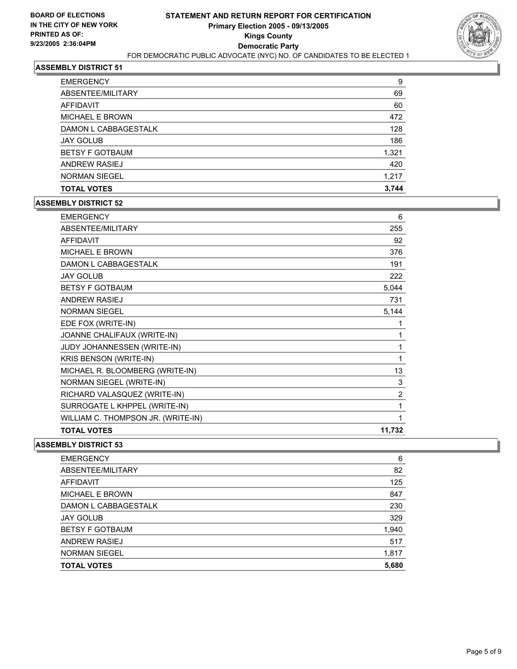

| <b>EMERGENCY</b>       | 9     |
|------------------------|-------|
| ABSENTEE/MILITARY      | 69    |
| AFFIDAVIT              | 60    |
| <b>MICHAEL E BROWN</b> | 472   |
| DAMON L CABBAGESTALK   | 128   |
| <b>JAY GOLUB</b>       | 186   |
| <b>BETSY F GOTBAUM</b> | 1,321 |
| <b>ANDREW RASIEJ</b>   | 420   |
| <b>NORMAN SIEGEL</b>   | 1,217 |
| <b>TOTAL VOTES</b>     | 3,744 |

#### **ASSEMBLY DISTRICT 52**

| <b>EMERGENCY</b>                   | 6              |
|------------------------------------|----------------|
| ABSENTEE/MILITARY                  | 255            |
| <b>AFFIDAVIT</b>                   | 92             |
| <b>MICHAEL E BROWN</b>             | 376            |
| DAMON L CABBAGESTALK               | 191            |
| <b>JAY GOLUB</b>                   | 222            |
| <b>BETSY F GOTBAUM</b>             | 5,044          |
| <b>ANDREW RASIEJ</b>               | 731            |
| <b>NORMAN SIEGEL</b>               | 5,144          |
| EDE FOX (WRITE-IN)                 |                |
| JOANNE CHALIFAUX (WRITE-IN)        |                |
| JUDY JOHANNESSEN (WRITE-IN)        | 1              |
| KRIS BENSON (WRITE-IN)             |                |
| MICHAEL R. BLOOMBERG (WRITE-IN)    | 13             |
| NORMAN SIEGEL (WRITE-IN)           | 3              |
| RICHARD VALASQUEZ (WRITE-IN)       | $\overline{2}$ |
| SURROGATE L KHPPEL (WRITE-IN)      |                |
| WILLIAM C. THOMPSON JR. (WRITE-IN) |                |
| <b>TOTAL VOTES</b>                 | 11,732         |

| <b>EMERGENCY</b>       | 6     |
|------------------------|-------|
| ABSENTEE/MILITARY      | 82    |
| AFFIDAVIT              | 125   |
| MICHAEL E BROWN        | 847   |
| DAMON L CABBAGESTALK   | 230   |
| <b>JAY GOLUB</b>       | 329   |
| <b>BETSY F GOTBAUM</b> | 1,940 |
| ANDREW RASIEJ          | 517   |
| <b>NORMAN SIEGEL</b>   | 1,817 |
| <b>TOTAL VOTES</b>     | 5,680 |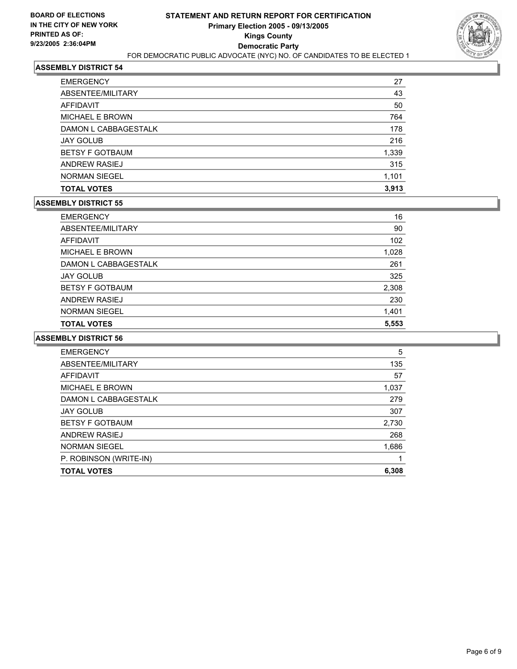

| <b>EMERGENCY</b>       | 27    |
|------------------------|-------|
| ABSENTEE/MILITARY      | 43    |
| AFFIDAVIT              | 50    |
| <b>MICHAEL E BROWN</b> | 764   |
| DAMON L CABBAGESTALK   | 178   |
| <b>JAY GOLUB</b>       | 216   |
| <b>BETSY F GOTBAUM</b> | 1,339 |
| <b>ANDREW RASIEJ</b>   | 315   |
| <b>NORMAN SIEGEL</b>   | 1,101 |
| <b>TOTAL VOTES</b>     | 3,913 |

#### **ASSEMBLY DISTRICT 55**

| <b>JAY GOLUB</b><br><b>BETSY F GOTBAUM</b> | 325<br>2,308 |
|--------------------------------------------|--------------|
|                                            |              |
| DAMON L CABBAGESTALK                       | 261          |
| MICHAEL E BROWN                            | 1,028        |
| AFFIDAVIT                                  | 102          |
| ABSENTEE/MILITARY                          | 90           |
| <b>EMERGENCY</b>                           | 16           |

| <b>EMERGENCY</b>       | 5     |
|------------------------|-------|
| ABSENTEE/MILITARY      | 135   |
| AFFIDAVIT              | 57    |
| MICHAEL E BROWN        | 1,037 |
| DAMON L CABBAGESTALK   | 279   |
| <b>JAY GOLUB</b>       | 307   |
| <b>BETSY F GOTBAUM</b> | 2,730 |
| ANDREW RASIEJ          | 268   |
| <b>NORMAN SIEGEL</b>   | 1,686 |
| P. ROBINSON (WRITE-IN) |       |
| <b>TOTAL VOTES</b>     | 6,308 |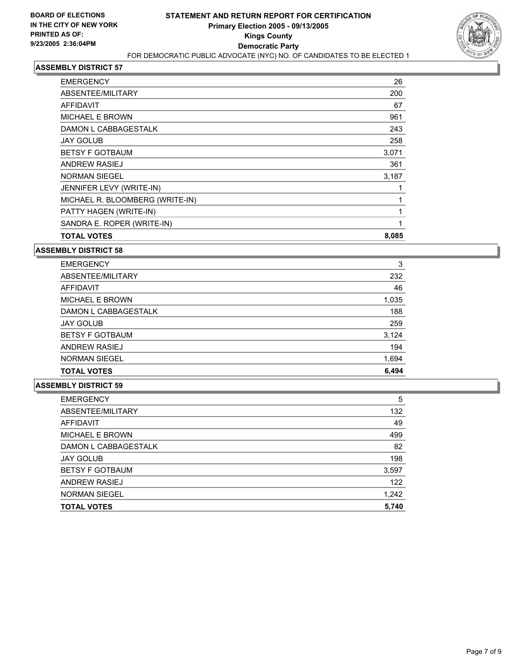

| <b>EMERGENCY</b>                | 26    |
|---------------------------------|-------|
| ABSENTEE/MILITARY               | 200   |
| AFFIDAVIT                       | 67    |
| <b>MICHAEL E BROWN</b>          | 961   |
| DAMON L CABBAGESTALK            | 243   |
| <b>JAY GOLUB</b>                | 258   |
| <b>BETSY F GOTBAUM</b>          | 3,071 |
| ANDREW RASIEJ                   | 361   |
| <b>NORMAN SIEGEL</b>            | 3,187 |
| JENNIFER LEVY (WRITE-IN)        |       |
| MICHAEL R. BLOOMBERG (WRITE-IN) |       |
| PATTY HAGEN (WRITE-IN)          |       |
| SANDRA E. ROPER (WRITE-IN)      |       |
| <b>TOTAL VOTES</b>              | 8,085 |

**ASSEMBLY DISTRICT 58**

| <b>EMERGENCY</b>       | 3     |
|------------------------|-------|
| ABSENTEE/MILITARY      | 232   |
| AFFIDAVIT              | 46    |
| MICHAEL E BROWN        | 1,035 |
| DAMON L CABBAGESTALK   | 188   |
| <b>JAY GOLUB</b>       | 259   |
| <b>BETSY F GOTBAUM</b> | 3,124 |
| ANDREW RASIEJ          | 194   |
| <b>NORMAN SIEGEL</b>   | 1,694 |
| <b>TOTAL VOTES</b>     | 6,494 |

| <b>EMERGENCY</b>       | 5     |
|------------------------|-------|
| ABSENTEE/MILITARY      | 132   |
| AFFIDAVIT              | 49    |
| <b>MICHAEL E BROWN</b> | 499   |
| DAMON L CABBAGESTALK   | 82    |
| <b>JAY GOLUB</b>       | 198   |
| <b>BETSY F GOTBAUM</b> | 3,597 |
| ANDREW RASIEJ          | 122   |
| <b>NORMAN SIEGEL</b>   | 1,242 |
| <b>TOTAL VOTES</b>     | 5,740 |
|                        |       |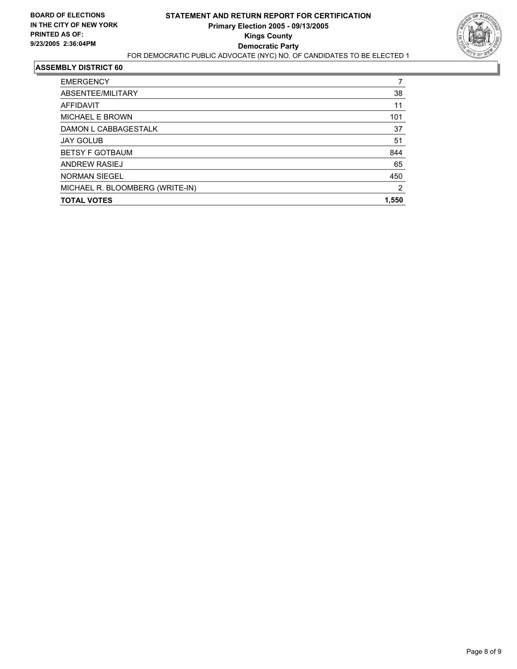

| <b>EMERGENCY</b>                |       |
|---------------------------------|-------|
| ABSENTEE/MILITARY               | 38    |
| <b>AFFIDAVIT</b>                | 11    |
| <b>MICHAEL E BROWN</b>          | 101   |
| DAMON L CABBAGESTALK            | 37    |
| <b>JAY GOLUB</b>                | 51    |
| <b>BETSY F GOTBAUM</b>          | 844   |
| ANDREW RASIEJ                   | 65    |
| <b>NORMAN SIEGEL</b>            | 450   |
| MICHAEL R. BLOOMBERG (WRITE-IN) | 2     |
| <b>TOTAL VOTES</b>              | 1,550 |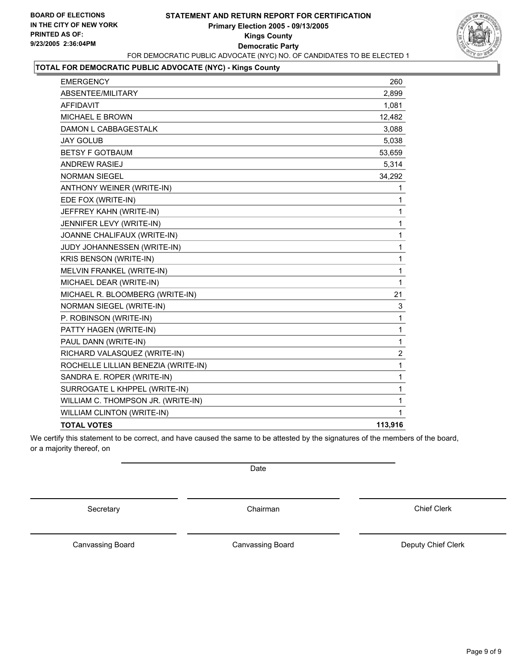## **STATEMENT AND RETURN REPORT FOR CERTIFICATION Primary Election 2005 - 09/13/2005 Kings County Democratic Party** FOR DEMOCRATIC PUBLIC ADVOCATE (NYC) NO. OF CANDIDATES TO BE ELECTED 1



## **TOTAL FOR DEMOCRATIC PUBLIC ADVOCATE (NYC) - Kings County**

| <b>EMERGENCY</b>                    | 260                     |
|-------------------------------------|-------------------------|
| ABSENTEE/MILITARY                   | 2,899                   |
| <b>AFFIDAVIT</b>                    | 1,081                   |
| MICHAEL E BROWN                     | 12,482                  |
| DAMON L CABBAGESTALK                | 3,088                   |
| <b>JAY GOLUB</b>                    | 5,038                   |
| <b>BETSY F GOTBAUM</b>              | 53,659                  |
| <b>ANDREW RASIEJ</b>                | 5,314                   |
| <b>NORMAN SIEGEL</b>                | 34,292                  |
| ANTHONY WEINER (WRITE-IN)           | 1                       |
| EDE FOX (WRITE-IN)                  | 1                       |
| JEFFREY KAHN (WRITE-IN)             | 1                       |
| JENNIFER LEVY (WRITE-IN)            | 1                       |
| JOANNE CHALIFAUX (WRITE-IN)         | 1                       |
| <b>JUDY JOHANNESSEN (WRITE-IN)</b>  | 1                       |
| <b>KRIS BENSON (WRITE-IN)</b>       | 1                       |
| MELVIN FRANKEL (WRITE-IN)           | 1                       |
| MICHAEL DEAR (WRITE-IN)             | 1                       |
| MICHAEL R. BLOOMBERG (WRITE-IN)     | 21                      |
| NORMAN SIEGEL (WRITE-IN)            | 3                       |
| P. ROBINSON (WRITE-IN)              | 1                       |
| PATTY HAGEN (WRITE-IN)              | 1                       |
| PAUL DANN (WRITE-IN)                | 1                       |
| RICHARD VALASQUEZ (WRITE-IN)        | $\overline{\mathbf{c}}$ |
| ROCHELLE LILLIAN BENEZIA (WRITE-IN) | 1                       |
| SANDRA E. ROPER (WRITE-IN)          | 1                       |
| SURROGATE L KHPPEL (WRITE-IN)       | 1                       |
| WILLIAM C. THOMPSON JR. (WRITE-IN)  | 1                       |
| WILLIAM CLINTON (WRITE-IN)          | 1                       |
| <b>TOTAL VOTES</b>                  | 113,916                 |

We certify this statement to be correct, and have caused the same to be attested by the signatures of the members of the board, or a majority thereof, on

Secretary **Chairman** 

Date

Chief Clerk

Canvassing Board

Canvassing Board **Canvassing Board** Canvassing Board **Deputy Chief Clerk**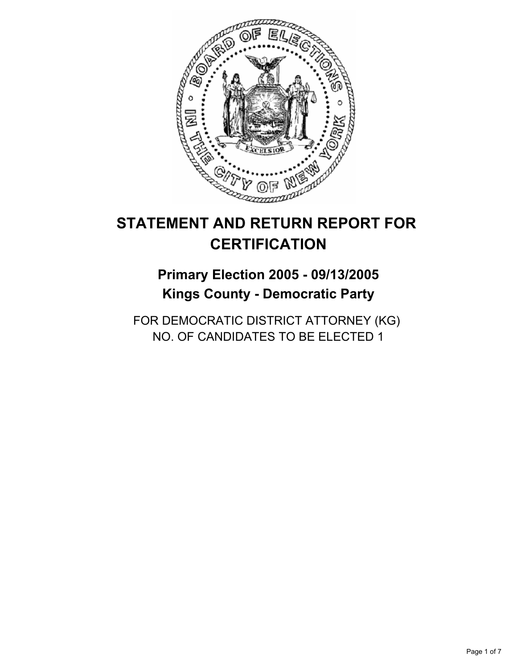

## **STATEMENT AND RETURN REPORT FOR CERTIFICATION**

## **Primary Election 2005 - 09/13/2005 Kings County - Democratic Party**

FOR DEMOCRATIC DISTRICT ATTORNEY (KG) NO. OF CANDIDATES TO BE ELECTED 1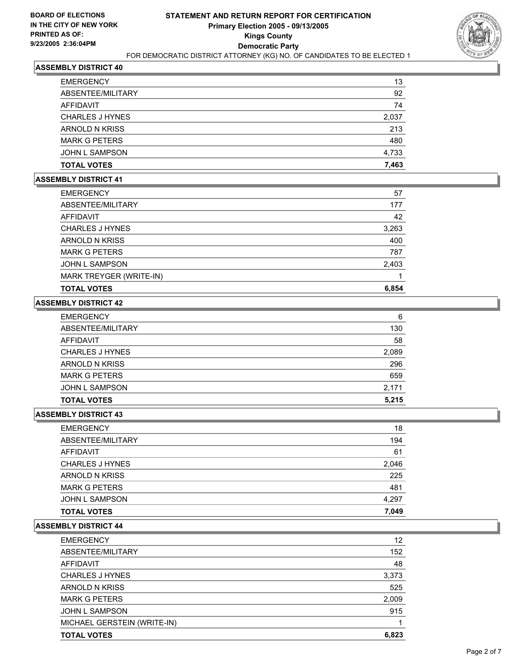

| <b>TOTAL VOTES</b>     | 7,463 |
|------------------------|-------|
| <b>JOHN L SAMPSON</b>  | 4,733 |
| <b>MARK G PETERS</b>   | 480   |
| ARNOLD N KRISS         | 213   |
| <b>CHARLES J HYNES</b> | 2,037 |
| AFFIDAVIT              | 74    |
| ABSENTEE/MILITARY      | 92    |
| <b>EMERGENCY</b>       | 13    |

#### **ASSEMBLY DISTRICT 41**

| <b>EMERGENCY</b>        | 57    |
|-------------------------|-------|
| ABSENTEE/MILITARY       | 177   |
| AFFIDAVIT               | 42    |
| <b>CHARLES J HYNES</b>  | 3,263 |
| ARNOLD N KRISS          | 400   |
| <b>MARK G PETERS</b>    | 787   |
| JOHN L SAMPSON          | 2,403 |
| MARK TREYGER (WRITE-IN) |       |
| <b>TOTAL VOTES</b>      | 6,854 |

## **ASSEMBLY DISTRICT 42**

| 6     |
|-------|
| 130   |
| 58    |
| 2,089 |
| 296   |
| 659   |
| 2,171 |
| 5,215 |
|       |

#### **ASSEMBLY DISTRICT 43**

| 18    |
|-------|
| 194   |
| 61    |
| 2,046 |
| 225   |
| 481   |
| 4,297 |
| 7,049 |
|       |

| <b>EMERGENCY</b>            | 12    |
|-----------------------------|-------|
| ABSENTEE/MILITARY           | 152   |
| AFFIDAVIT                   | 48    |
| CHARLES J HYNES             | 3,373 |
| ARNOLD N KRISS              | 525   |
| <b>MARK G PETERS</b>        | 2,009 |
| <b>JOHN L SAMPSON</b>       | 915   |
| MICHAEL GERSTEIN (WRITE-IN) |       |
| <b>TOTAL VOTES</b>          | 6,823 |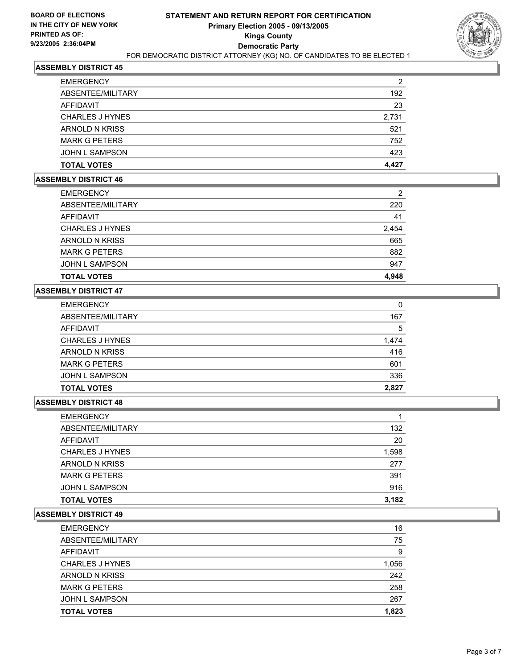

| <b>EMERGENCY</b>       | 2     |
|------------------------|-------|
| ABSENTEE/MILITARY      | 192   |
| AFFIDAVIT              | 23    |
| <b>CHARLES J HYNES</b> | 2,731 |
| ARNOLD N KRISS         | 521   |
| <b>MARK G PETERS</b>   | 752   |
| <b>JOHN L SAMPSON</b>  | 423   |
| <b>TOTAL VOTES</b>     | 4,427 |

## **ASSEMBLY DISTRICT 46**

| <b>EMERGENCY</b>      | 2     |
|-----------------------|-------|
| ABSENTEE/MILITARY     | 220   |
| AFFIDAVIT             | 41    |
| CHARLES J HYNES       | 2,454 |
| ARNOLD N KRISS        | 665   |
| <b>MARK G PETERS</b>  | 882   |
| <b>JOHN L SAMPSON</b> | 947   |
| <b>TOTAL VOTES</b>    | 4.948 |

## **ASSEMBLY DISTRICT 47**

| <b>EMERGENCY</b>       |       |
|------------------------|-------|
| ABSENTEE/MILITARY      | 167   |
| AFFIDAVIT              | 5     |
| <b>CHARLES J HYNES</b> | 1,474 |
| <b>ARNOLD N KRISS</b>  | 416   |
| <b>MARK G PETERS</b>   | 601   |
| <b>JOHN L SAMPSON</b>  | 336   |
| <b>TOTAL VOTES</b>     | 2,827 |

#### **ASSEMBLY DISTRICT 48**

| <b>TOTAL VOTES</b>     | 3,182 |
|------------------------|-------|
| <b>JOHN L SAMPSON</b>  | 916   |
| <b>MARK G PETERS</b>   | 391   |
| ARNOLD N KRISS         | 277   |
| <b>CHARLES J HYNES</b> | 1,598 |
| <b>AFFIDAVIT</b>       | 20    |
| ABSENTEE/MILITARY      | 132   |
| <b>EMERGENCY</b>       |       |

| <b>EMERGENCY</b>       | 16    |
|------------------------|-------|
| ABSENTEE/MILITARY      | 75    |
| AFFIDAVIT              | 9     |
| <b>CHARLES J HYNES</b> | 1,056 |
| ARNOLD N KRISS         | 242   |
| <b>MARK G PETERS</b>   | 258   |
| <b>JOHN L SAMPSON</b>  | 267   |
| <b>TOTAL VOTES</b>     | 1,823 |
|                        |       |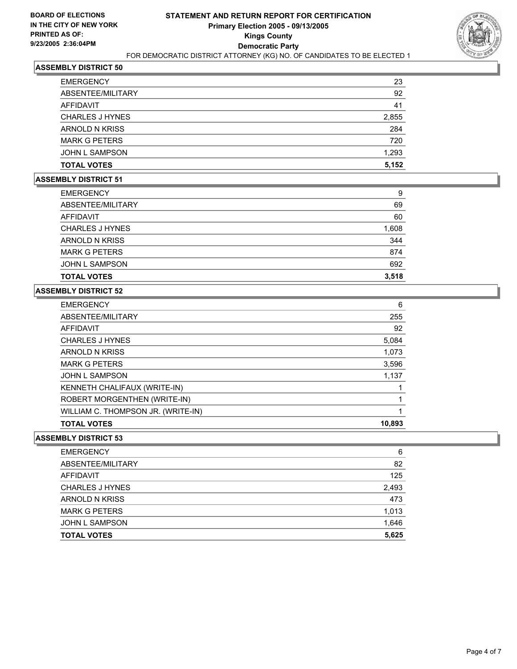

| <b>EMERGENCY</b>       | 23    |
|------------------------|-------|
| ABSENTEE/MILITARY      | 92    |
| <b>AFFIDAVIT</b>       | 41    |
| <b>CHARLES J HYNES</b> | 2,855 |
| ARNOLD N KRISS         | 284   |
| <b>MARK G PETERS</b>   | 720   |
| <b>JOHN L SAMPSON</b>  | 1,293 |
| <b>TOTAL VOTES</b>     | 5,152 |

#### **ASSEMBLY DISTRICT 51**

| <b>EMERGENCY</b>       | 9     |
|------------------------|-------|
| ABSENTEE/MILITARY      | 69    |
| AFFIDAVIT              | 60    |
| <b>CHARLES J HYNES</b> | 1,608 |
| ARNOLD N KRISS         | 344   |
| <b>MARK G PETERS</b>   | 874   |
| <b>JOHN L SAMPSON</b>  | 692   |
| <b>TOTAL VOTES</b>     | 3,518 |

## **ASSEMBLY DISTRICT 52**

| <b>EMERGENCY</b>                   | 6      |
|------------------------------------|--------|
| ABSENTEE/MILITARY                  | 255    |
| AFFIDAVIT                          | 92     |
| <b>CHARLES J HYNES</b>             | 5,084  |
| ARNOLD N KRISS                     | 1,073  |
| <b>MARK G PETERS</b>               | 3,596  |
| <b>JOHN L SAMPSON</b>              | 1,137  |
| KENNETH CHALIFAUX (WRITE-IN)       |        |
| ROBERT MORGENTHEN (WRITE-IN)       |        |
| WILLIAM C. THOMPSON JR. (WRITE-IN) |        |
| <b>TOTAL VOTES</b>                 | 10,893 |

| <b>EMERGENCY</b>       | 6     |
|------------------------|-------|
| ABSENTEE/MILITARY      | 82    |
| AFFIDAVIT              | 125   |
| <b>CHARLES J HYNES</b> | 2,493 |
| ARNOLD N KRISS         | 473   |
| <b>MARK G PETERS</b>   | 1,013 |
| <b>JOHN L SAMPSON</b>  | 1,646 |
| <b>TOTAL VOTES</b>     | 5,625 |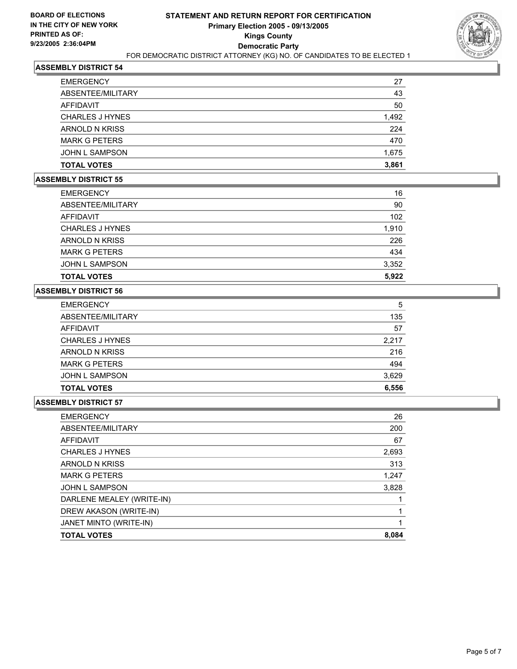

| <b>EMERGENCY</b><br>ABSENTEE/MILITARY | 27<br>43 |
|---------------------------------------|----------|
| AFFIDAVIT                             | 50       |
| <b>CHARLES J HYNES</b>                | 1,492    |
| ARNOLD N KRISS                        | 224      |
| <b>MARK G PETERS</b>                  | 470      |
| <b>JOHN L SAMPSON</b>                 | 1,675    |
| <b>TOTAL VOTES</b>                    | 3,861    |

## **ASSEMBLY DISTRICT 55**

| <b>EMERGENCY</b>      | 16    |
|-----------------------|-------|
| ABSENTEE/MILITARY     | 90    |
| AFFIDAVIT             | 102   |
| CHARLES J HYNES       | 1,910 |
| ARNOLD N KRISS        | 226   |
| <b>MARK G PETERS</b>  | 434   |
| <b>JOHN L SAMPSON</b> | 3,352 |
| <b>TOTAL VOTES</b>    | 5,922 |

## **ASSEMBLY DISTRICT 56**

| <b>EMERGENCY</b>       | 5     |
|------------------------|-------|
| ABSENTEE/MILITARY      | 135   |
| AFFIDAVIT              | 57    |
| <b>CHARLES J HYNES</b> | 2,217 |
| <b>ARNOLD N KRISS</b>  | 216   |
| <b>MARK G PETERS</b>   | 494   |
| JOHN L SAMPSON         | 3,629 |
| <b>TOTAL VOTES</b>     | 6,556 |

| <b>EMERGENCY</b>          | 26    |
|---------------------------|-------|
| ABSENTEE/MILITARY         | 200   |
| AFFIDAVIT                 | 67    |
| <b>CHARLES J HYNES</b>    | 2,693 |
| ARNOLD N KRISS            | 313   |
| <b>MARK G PETERS</b>      | 1,247 |
| <b>JOHN L SAMPSON</b>     | 3,828 |
| DARLENE MEALEY (WRITE-IN) |       |
| DREW AKASON (WRITE-IN)    |       |
| JANET MINTO (WRITE-IN)    |       |
| <b>TOTAL VOTES</b>        | 8,084 |
|                           |       |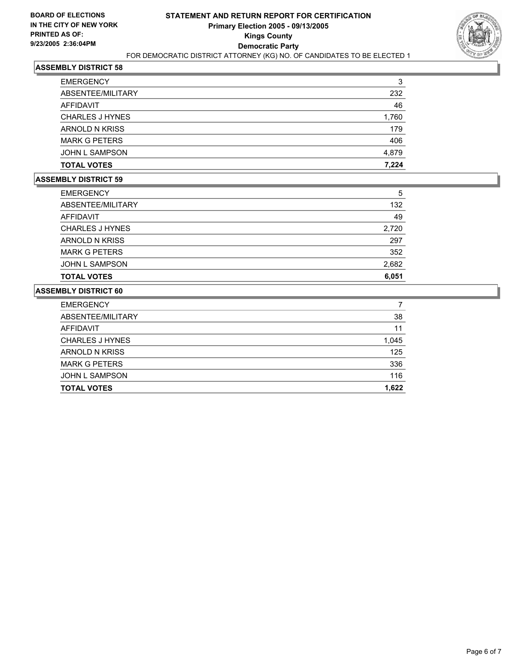

| <b>EMERGENCY</b>       | 3     |
|------------------------|-------|
| ABSENTEE/MILITARY      | 232   |
| AFFIDAVIT              | 46    |
| <b>CHARLES J HYNES</b> | 1,760 |
| ARNOLD N KRISS         | 179   |
| <b>MARK G PETERS</b>   | 406   |
| <b>JOHN L SAMPSON</b>  | 4,879 |
| <b>TOTAL VOTES</b>     | 7.224 |

## **ASSEMBLY DISTRICT 59**

| <b>EMERGENCY</b>      | 5     |
|-----------------------|-------|
| ABSENTEE/MILITARY     | 132   |
| AFFIDAVIT             | 49    |
| CHARLES J HYNES       | 2,720 |
| ARNOLD N KRISS        | 297   |
| <b>MARK G PETERS</b>  | 352   |
| <b>JOHN L SAMPSON</b> | 2,682 |
| <b>TOTAL VOTES</b>    | 6,051 |

| 38    |
|-------|
|       |
| 11    |
| 1,045 |
| 125   |
| 336   |
| 116   |
| 1,622 |
|       |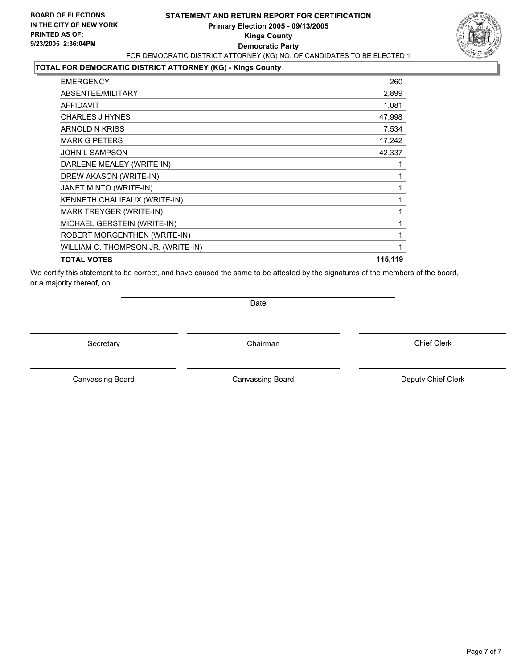## **STATEMENT AND RETURN REPORT FOR CERTIFICATION Primary Election 2005 - 09/13/2005 Kings County Democratic Party** FOR DEMOCRATIC DISTRICT ATTORNEY (KG) NO. OF CANDIDATES TO BE ELECTED 1



### **TOTAL FOR DEMOCRATIC DISTRICT ATTORNEY (KG) - Kings County**

| <b>EMERGENCY</b>                   | 260     |
|------------------------------------|---------|
| ABSENTEE/MILITARY                  | 2,899   |
| AFFIDAVIT                          | 1,081   |
| <b>CHARLES J HYNES</b>             | 47,998  |
| ARNOLD N KRISS                     | 7,534   |
| <b>MARK G PETERS</b>               | 17,242  |
| <b>JOHN L SAMPSON</b>              | 42,337  |
| DARLENE MEALEY (WRITE-IN)          |         |
| DREW AKASON (WRITE-IN)             |         |
| JANET MINTO (WRITE-IN)             |         |
| KENNETH CHALIFAUX (WRITE-IN)       |         |
| MARK TREYGER (WRITE-IN)            |         |
| MICHAEL GERSTEIN (WRITE-IN)        |         |
| ROBERT MORGENTHEN (WRITE-IN)       |         |
| WILLIAM C. THOMPSON JR. (WRITE-IN) |         |
| <b>TOTAL VOTES</b>                 | 115,119 |

We certify this statement to be correct, and have caused the same to be attested by the signatures of the members of the board, or a majority thereof, on

Date

Secretary **Chairman** 

Canvassing Board **Canvassing Board** Canvassing Board **Deputy Chief Clerk** 

Canvassing Board

Chief Clerk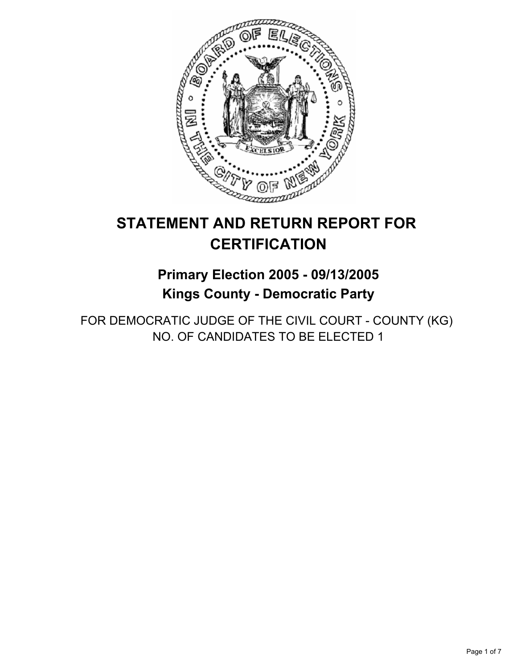

# **STATEMENT AND RETURN REPORT FOR CERTIFICATION**

## **Primary Election 2005 - 09/13/2005 Kings County - Democratic Party**

FOR DEMOCRATIC JUDGE OF THE CIVIL COURT - COUNTY (KG) NO. OF CANDIDATES TO BE ELECTED 1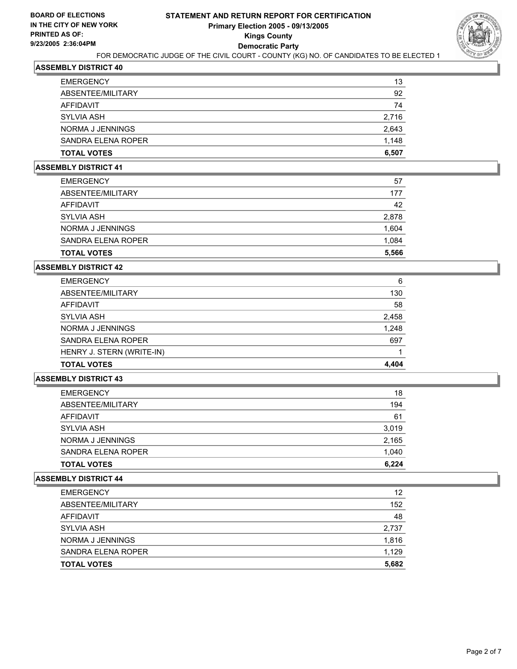

| <b>EMERGENCY</b>   | 13    |
|--------------------|-------|
| ABSENTEE/MILITARY  | 92    |
| AFFIDAVIT          | 74    |
| SYLVIA ASH         | 2,716 |
| NORMA J JENNINGS   | 2,643 |
| SANDRA ELENA ROPER | 1,148 |
| <b>TOTAL VOTES</b> | 6,507 |
|                    |       |

#### **ASSEMBLY DISTRICT 41**

| <b>EMERGENCY</b>   | 57    |
|--------------------|-------|
| ABSENTEE/MILITARY  | 177   |
| AFFIDAVIT          | 42    |
| SYLVIA ASH         | 2,878 |
| NORMA J JENNINGS   | 1,604 |
| SANDRA ELENA ROPER | 1,084 |
| <b>TOTAL VOTES</b> | 5,566 |

#### **ASSEMBLY DISTRICT 42**

| <b>EMERGENCY</b>          | 6     |
|---------------------------|-------|
| ABSENTEE/MILITARY         | 130   |
| AFFIDAVIT                 | 58    |
| <b>SYLVIA ASH</b>         | 2,458 |
| NORMA J JENNINGS          | 1,248 |
| SANDRA ELENA ROPER        | 697   |
| HENRY J. STERN (WRITE-IN) |       |
| <b>TOTAL VOTES</b>        | 4,404 |

#### **ASSEMBLY DISTRICT 43**

| <b>EMERGENCY</b>   | 18    |
|--------------------|-------|
| ABSENTEE/MILITARY  | 194   |
| AFFIDAVIT          | 61    |
| <b>SYLVIA ASH</b>  | 3,019 |
| NORMA J JENNINGS   | 2,165 |
| SANDRA ELENA ROPER | 1,040 |
| <b>TOTAL VOTES</b> | 6,224 |

| <b>EMERGENCY</b>   | 12    |
|--------------------|-------|
| ABSENTEE/MILITARY  | 152   |
| AFFIDAVIT          | 48    |
| SYLVIA ASH         | 2,737 |
| NORMA J JENNINGS   | 1,816 |
| SANDRA ELENA ROPER | 1,129 |
| <b>TOTAL VOTES</b> | 5,682 |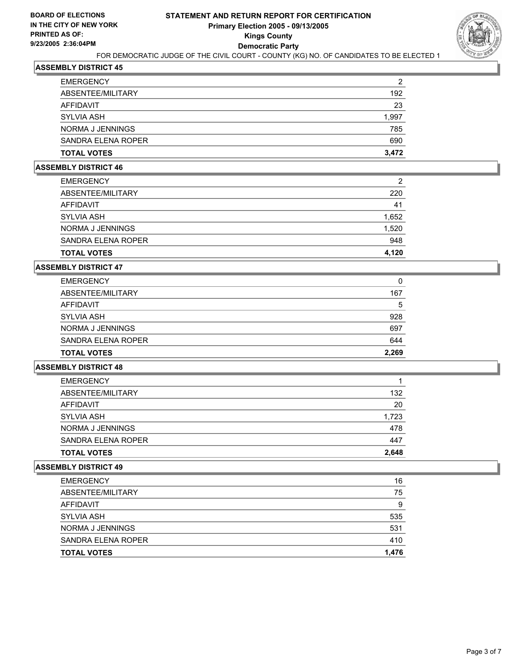

| <b>TOTAL VOTES</b> | 3,472 |
|--------------------|-------|
| SANDRA ELENA ROPER | 690   |
| NORMA J JENNINGS   | 785   |
| SYLVIA ASH         | 1,997 |
| <b>AFFIDAVIT</b>   | 23    |
| ABSENTEE/MILITARY  | 192   |
| <b>EMERGENCY</b>   | 2     |

#### **ASSEMBLY DISTRICT 46**

| <b>EMERGENCY</b>   | 2     |
|--------------------|-------|
| ABSENTEE/MILITARY  | 220   |
| AFFIDAVIT          | 41    |
| SYLVIA ASH         | 1,652 |
| NORMA J JENNINGS   | 1,520 |
| SANDRA ELENA ROPER | 948   |
| <b>TOTAL VOTES</b> | 4,120 |

#### **ASSEMBLY DISTRICT 47**

| <b>EMERGENCY</b>   | 0     |
|--------------------|-------|
| ABSENTEE/MILITARY  | 167   |
| AFFIDAVIT          | 5     |
| <b>SYLVIA ASH</b>  | 928   |
| NORMA J JENNINGS   | 697   |
| SANDRA ELENA ROPER | 644   |
| <b>TOTAL VOTES</b> | 2,269 |

### **ASSEMBLY DISTRICT 48**

| <b>EMERGENCY</b>   |       |
|--------------------|-------|
| ABSENTEE/MILITARY  | 132   |
| AFFIDAVIT          | 20    |
| <b>SYLVIA ASH</b>  | 1,723 |
| NORMA J JENNINGS   | 478   |
| SANDRA ELENA ROPER | 447   |
| <b>TOTAL VOTES</b> | 2,648 |

| <b>EMERGENCY</b>   | 16    |
|--------------------|-------|
| ABSENTEE/MILITARY  | 75    |
| AFFIDAVIT          | 9     |
| <b>SYLVIA ASH</b>  | 535   |
| NORMA J JENNINGS   | 531   |
| SANDRA ELENA ROPER | 410   |
| <b>TOTAL VOTES</b> | 1,476 |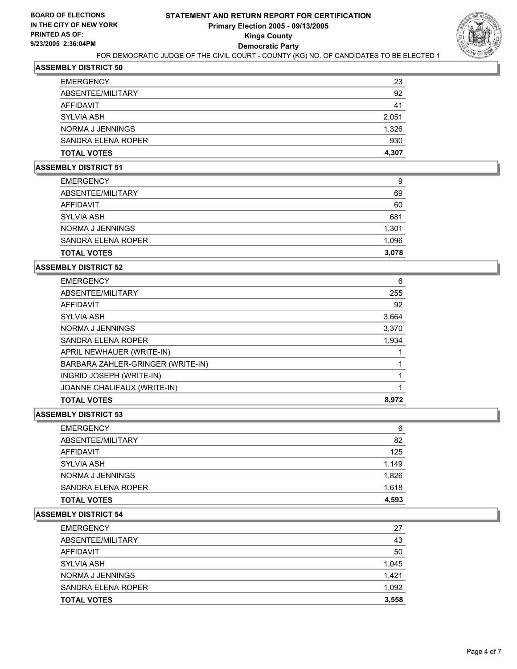

| <b>TOTAL VOTES</b> | 4,307 |
|--------------------|-------|
| SANDRA ELENA ROPER | 930   |
| NORMA J JENNINGS   | 1,326 |
| SYLVIA ASH         | 2,051 |
| AFFIDAVIT          | 41    |
| ABSENTEE/MILITARY  | 92    |
| <b>EMERGENCY</b>   | 23    |

#### **ASSEMBLY DISTRICT 51**

| <b>EMERGENCY</b>   | 9     |
|--------------------|-------|
| ABSENTEE/MILITARY  | 69    |
| AFFIDAVIT          | 60    |
| <b>SYLVIA ASH</b>  | 681   |
| NORMA J JENNINGS   | 1,301 |
| SANDRA ELENA ROPER | 1,096 |
| <b>TOTAL VOTES</b> | 3,078 |

### **ASSEMBLY DISTRICT 52**

| <b>EMERGENCY</b>                  | 6     |
|-----------------------------------|-------|
| ABSENTEE/MILITARY                 | 255   |
| AFFIDAVIT                         | 92    |
| <b>SYLVIA ASH</b>                 | 3,664 |
| NORMA J JENNINGS                  | 3,370 |
| SANDRA ELENA ROPER                | 1,934 |
| APRIL NEWHAUER (WRITE-IN)         |       |
| BARBARA ZAHLER-GRINGER (WRITE-IN) |       |
| INGRID JOSEPH (WRITE-IN)          |       |
| JOANNE CHALIFAUX (WRITE-IN)       |       |
| <b>TOTAL VOTES</b>                | 8.972 |

## **ASSEMBLY DISTRICT 53**

| <b>EMERGENCY</b>   | 6     |
|--------------------|-------|
| ABSENTEE/MILITARY  | 82    |
| AFFIDAVIT          | 125   |
| SYLVIA ASH         | 1,149 |
| NORMA J JENNINGS   | 1,826 |
| SANDRA ELENA ROPER | 1,618 |
| <b>TOTAL VOTES</b> | 4,593 |

| <b>EMERGENCY</b>   | 27    |
|--------------------|-------|
| ABSENTEE/MILITARY  | 43    |
| AFFIDAVIT          | 50    |
| SYLVIA ASH         | 1,045 |
| NORMA J JENNINGS   | 1,421 |
| SANDRA ELENA ROPER | 1,092 |
| <b>TOTAL VOTES</b> | 3,558 |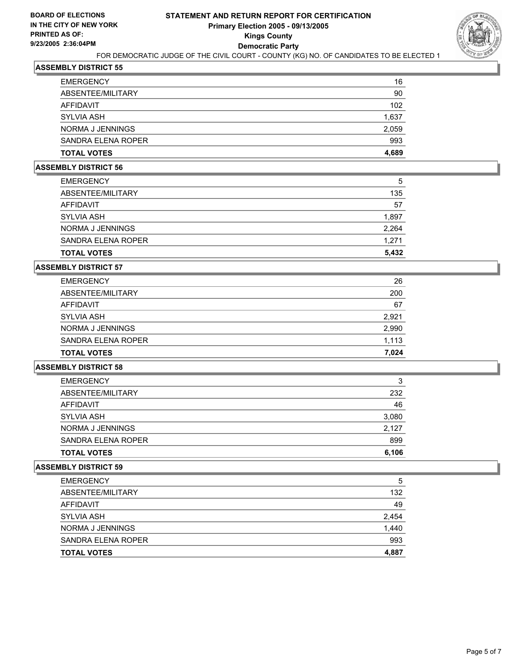

| 102<br>1,637 |
|--------------|
| 2,059        |
| 993          |
| 4,689        |
|              |

#### **ASSEMBLY DISTRICT 56**

| <b>EMERGENCY</b>   | 5     |
|--------------------|-------|
| ABSENTEE/MILITARY  | 135   |
| AFFIDAVIT          | 57    |
| <b>SYLVIA ASH</b>  | 1,897 |
| NORMA J JENNINGS   | 2,264 |
| SANDRA ELENA ROPER | 1,271 |
| <b>TOTAL VOTES</b> | 5,432 |

#### **ASSEMBLY DISTRICT 57**

| <b>EMERGENCY</b>   | 26    |
|--------------------|-------|
| ABSENTEE/MILITARY  | 200   |
| AFFIDAVIT          | 67    |
| <b>SYLVIA ASH</b>  | 2,921 |
| NORMA J JENNINGS   | 2,990 |
| SANDRA ELENA ROPER | 1,113 |
| <b>TOTAL VOTES</b> | 7,024 |

## **ASSEMBLY DISTRICT 58**

| <b>EMERGENCY</b>   | 3     |
|--------------------|-------|
| ABSENTEE/MILITARY  | 232   |
| AFFIDAVIT          | 46    |
| <b>SYLVIA ASH</b>  | 3,080 |
| NORMA J JENNINGS   | 2,127 |
| SANDRA ELENA ROPER | 899   |
| <b>TOTAL VOTES</b> | 6,106 |

| <b>EMERGENCY</b>   | 5     |
|--------------------|-------|
| ABSENTEE/MILITARY  | 132   |
| AFFIDAVIT          | 49    |
| <b>SYLVIA ASH</b>  | 2,454 |
| NORMA J JENNINGS   | 1,440 |
| SANDRA ELENA ROPER | 993   |
| <b>TOTAL VOTES</b> | 4,887 |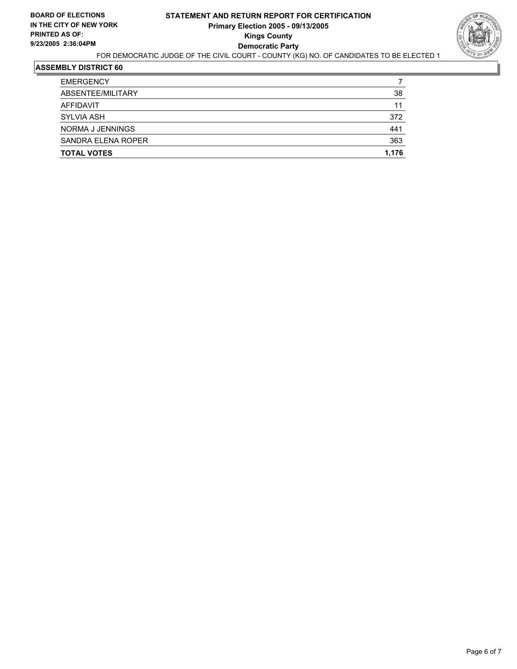

| <b>EMERGENCY</b>   |       |
|--------------------|-------|
| ABSENTEE/MILITARY  | 38    |
| AFFIDAVIT          | 11    |
| <b>SYLVIA ASH</b>  | 372   |
| NORMA J JENNINGS   | 441   |
| SANDRA ELENA ROPER | 363   |
| <b>TOTAL VOTES</b> | 1,176 |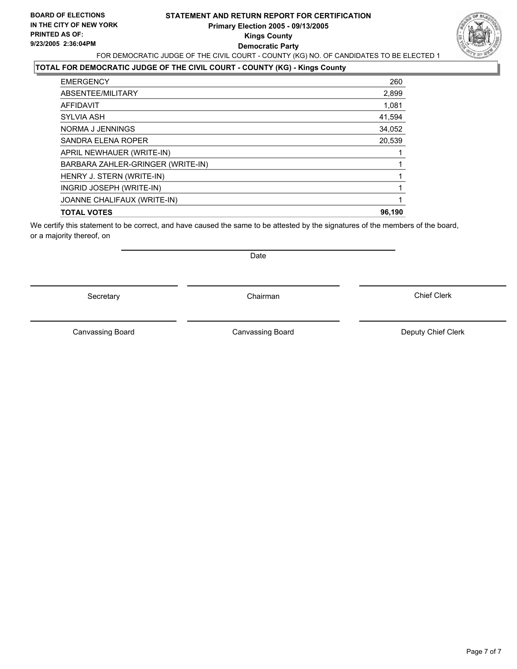## **STATEMENT AND RETURN REPORT FOR CERTIFICATION Primary Election 2005 - 09/13/2005 Kings County Democratic Party** FOR DEMOCRATIC JUDGE OF THE CIVIL COURT - COUNTY (KG) NO. OF CANDIDATES TO BE ELECTED 1



## **TOTAL FOR DEMOCRATIC JUDGE OF THE CIVIL COURT - COUNTY (KG) - Kings County**

| <b>EMERGENCY</b>                  | 260    |
|-----------------------------------|--------|
| ABSENTEE/MILITARY                 | 2,899  |
| AFFIDAVIT                         | 1,081  |
| <b>SYLVIA ASH</b>                 | 41,594 |
| NORMA J JENNINGS                  | 34,052 |
| SANDRA ELENA ROPER                | 20,539 |
| APRIL NEWHAUER (WRITE-IN)         |        |
| BARBARA ZAHLER-GRINGER (WRITE-IN) |        |
| HENRY J. STERN (WRITE-IN)         |        |
| INGRID JOSEPH (WRITE-IN)          |        |
| JOANNE CHALIFAUX (WRITE-IN)       |        |
| <b>TOTAL VOTES</b>                | 96.190 |
|                                   |        |

We certify this statement to be correct, and have caused the same to be attested by the signatures of the members of the board, or a majority thereof, on

Secretary **Chairman** 

Date

Canvassing Board **Canvassing Board** Canvassing Board **Deputy Chief Clerk** 

Canvassing Board

Chief Clerk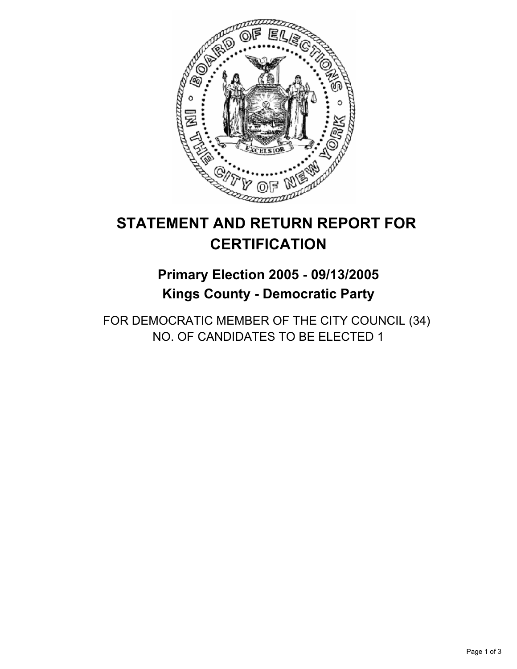

# **STATEMENT AND RETURN REPORT FOR CERTIFICATION**

## **Primary Election 2005 - 09/13/2005 Kings County - Democratic Party**

FOR DEMOCRATIC MEMBER OF THE CITY COUNCIL (34) NO. OF CANDIDATES TO BE ELECTED 1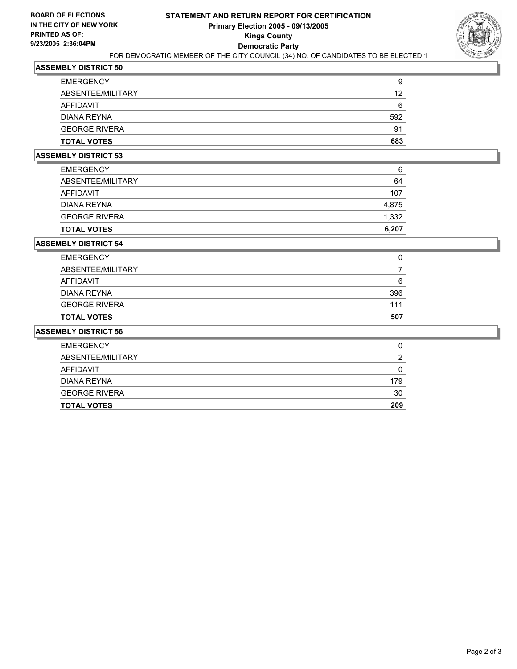

| <b>EMERGENCY</b>     | g   |
|----------------------|-----|
| ABSENTEE/MILITARY    | 12  |
| AFFIDAVIT            | 6   |
| DIANA REYNA          | 592 |
| <b>GEORGE RIVERA</b> | 91  |
| <b>TOTAL VOTES</b>   | 683 |

## **ASSEMBLY DISTRICT 53**

| <b>TOTAL VOTES</b>   | 6,207 |
|----------------------|-------|
| <b>GEORGE RIVERA</b> | 1,332 |
| DIANA REYNA          | 4,875 |
| AFFIDAVIT            | 107   |
| ABSENTEE/MILITARY    | 64    |
| <b>EMERGENCY</b>     | 6     |

#### **ASSEMBLY DISTRICT 54**

| 0   |
|-----|
|     |
| 6   |
| 396 |
| 111 |
| 507 |
|     |

| <b>EMERGENCY</b>     | u   |
|----------------------|-----|
| ABSENTEE/MILITARY    |     |
| AFFIDAVIT            |     |
| <b>DIANA REYNA</b>   | 179 |
| <b>GEORGE RIVERA</b> | 30  |
| <b>TOTAL VOTES</b>   | 209 |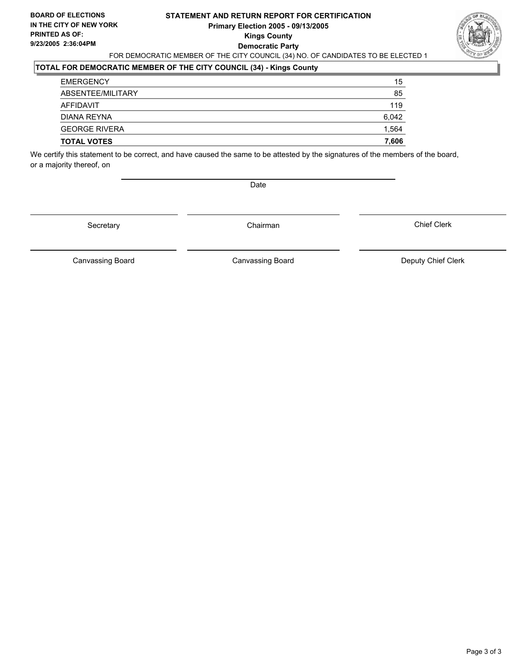## **STATEMENT AND RETURN REPORT FOR CERTIFICATION Primary Election 2005 - 09/13/2005 Kings County Democratic Party** FOR DEMOCRATIC MEMBER OF THE CITY COUNCIL (34) NO. OF CANDIDATES TO BE ELECTED 1



## **TOTAL FOR DEMOCRATIC MEMBER OF THE CITY COUNCIL (34) - Kings County**

| <b>TOTAL VOTES</b>   | 7,606 |
|----------------------|-------|
| <b>GEORGE RIVERA</b> | 1,564 |
| DIANA REYNA          | 6,042 |
| AFFIDAVIT            | 119   |
| ABSENTEE/MILITARY    | 85    |
| <b>EMERGENCY</b>     | 15    |

We certify this statement to be correct, and have caused the same to be attested by the signatures of the members of the board, or a majority thereof, on

Date

Secretary Chairman

Canvassing Board **Canvassing Board** Canvassing Board **Deputy Chief Clerk** 

Canvassing Board

Chief Clerk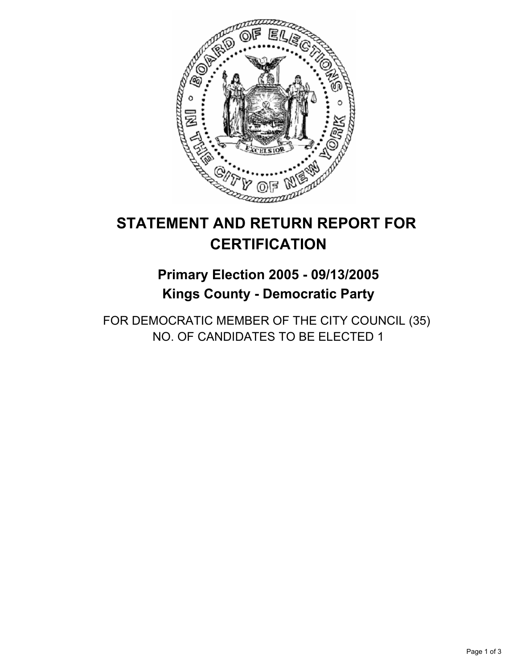

# **STATEMENT AND RETURN REPORT FOR CERTIFICATION**

## **Primary Election 2005 - 09/13/2005 Kings County - Democratic Party**

FOR DEMOCRATIC MEMBER OF THE CITY COUNCIL (35) NO. OF CANDIDATES TO BE ELECTED 1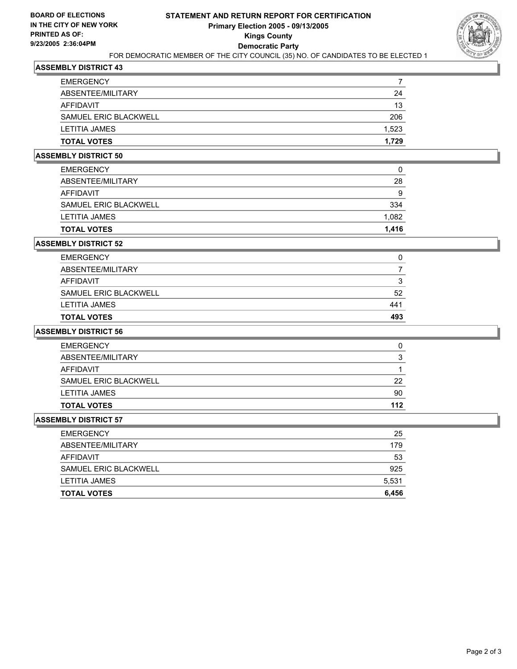

| <b>EMERGENCY</b>      |       |
|-----------------------|-------|
| ABSENTEE/MILITARY     | 24    |
| AFFIDAVIT             | 13    |
| SAMUEL ERIC BLACKWELL | 206   |
| LETITIA JAMES         | 1,523 |
| <b>TOTAL VOTES</b>    | 1,729 |

## **ASSEMBLY DISTRICT 50**

| <b>TOTAL VOTES</b>    | 1,416 |
|-----------------------|-------|
| <b>LETITIA JAMES</b>  | 1,082 |
| SAMUEL ERIC BLACKWELL | 334   |
| AFFIDAVIT             | 9     |
| ABSENTEE/MILITARY     | 28    |
| <b>EMERGENCY</b>      | 0     |

#### **ASSEMBLY DISTRICT 52**

| <b>TOTAL VOTES</b>    | 493 |
|-----------------------|-----|
| LETITIA JAMES         | 441 |
| SAMUEL ERIC BLACKWELL | 52  |
| <b>AFFIDAVIT</b>      | ີ   |
| ABSENTEE/MILITARY     |     |
| <b>EMERGENCY</b>      |     |

## **ASSEMBLY DISTRICT 56**

| <b>EMERGENCY</b>      |     |
|-----------------------|-----|
| ABSENTEE/MILITARY     | ◠   |
| AFFIDAVIT             |     |
| SAMUEL ERIC BLACKWELL | 22  |
| <b>LETITIA JAMES</b>  | 90  |
| <b>TOTAL VOTES</b>    | 112 |

| <b>EMERGENCY</b>      | 25    |
|-----------------------|-------|
| ABSENTEE/MILITARY     | 179   |
| AFFIDAVIT             | 53    |
| SAMUEL ERIC BLACKWELL | 925   |
| LETITIA JAMES         | 5,531 |
| <b>TOTAL VOTES</b>    | 6,456 |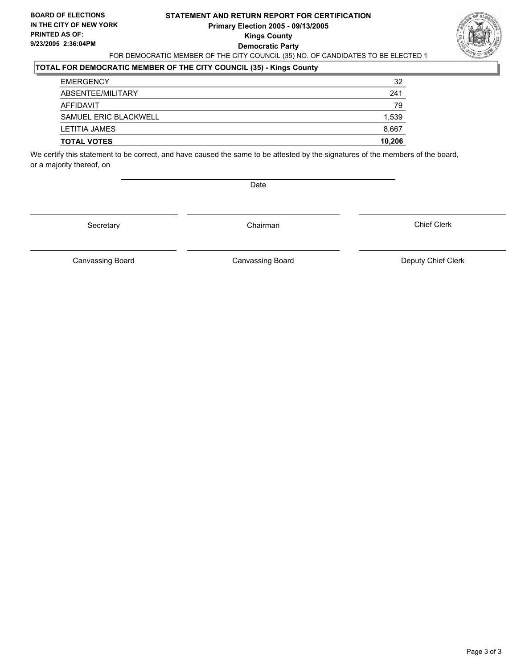### **STATEMENT AND RETURN REPORT FOR CERTIFICATION Primary Election 2005 - 09/13/2005 Kings County Democratic Party** FOR DEMOCRATIC MEMBER OF THE CITY COUNCIL (35) NO. OF CANDIDATES TO BE ELECTED 1



## **TOTAL FOR DEMOCRATIC MEMBER OF THE CITY COUNCIL (35) - Kings County**

| <b>TOTAL VOTES</b>    | 10,206 |
|-----------------------|--------|
| LETITIA JAMES         | 8,667  |
| SAMUEL ERIC BLACKWELL | 1,539  |
| AFFIDAVIT             | 79     |
| ABSENTEE/MILITARY     | 241    |
| <b>EMERGENCY</b>      | 32     |

We certify this statement to be correct, and have caused the same to be attested by the signatures of the members of the board, or a majority thereof, on

Date

Secretary Chairman

Canvassing Board **Canvassing Board** Canvassing Board **Deputy Chief Clerk** 

Chief Clerk

Canvassing Board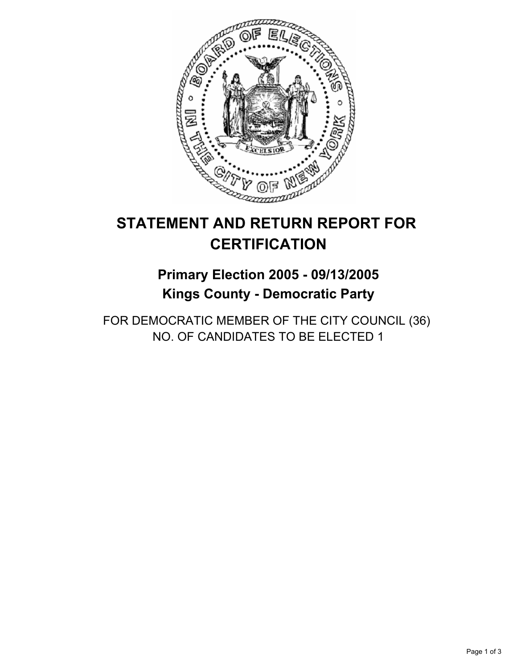

## **Primary Election 2005 - 09/13/2005 Kings County - Democratic Party**

FOR DEMOCRATIC MEMBER OF THE CITY COUNCIL (36) NO. OF CANDIDATES TO BE ELECTED 1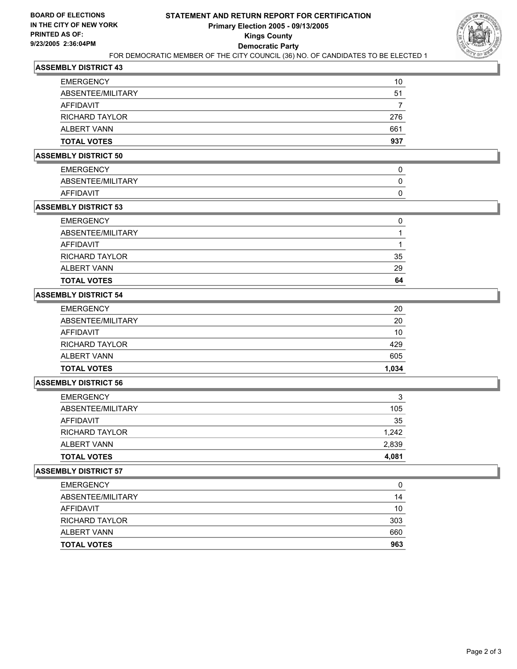

| <b>EMERGENCY</b>      | 10  |
|-----------------------|-----|
| ABSENTEE/MILITARY     | 51  |
| AFFIDAVIT             |     |
| <b>RICHARD TAYLOR</b> | 276 |
| ALBERT VANN           | 661 |
| <b>TOTAL VOTES</b>    | 937 |

### **ASSEMBLY DISTRICT 50**

| <b>EMERGENCY</b>  |  |
|-------------------|--|
| ABSENTEE/MILITARY |  |
| <b>AFFIDAVIT</b>  |  |

### **ASSEMBLY DISTRICT 53**

| <b>TOTAL VOTES</b>    | 64 |
|-----------------------|----|
| ALBERT VANN           | 29 |
| <b>RICHARD TAYLOR</b> | 35 |
| AFFIDAVIT             |    |
| ABSENTEE/MILITARY     |    |
| <b>EMERGENCY</b>      |    |

### **ASSEMBLY DISTRICT 54**

| <b>TOTAL VOTES</b>    | 1,034 |
|-----------------------|-------|
| ALBERT VANN           | 605   |
| <b>RICHARD TAYLOR</b> | 429   |
| AFFIDAVIT             | 10    |
| ABSENTEE/MILITARY     | 20    |
| <b>EMERGENCY</b>      | 20    |

### **ASSEMBLY DISTRICT 56**

| <b>EMERGENCY</b>      | 3     |
|-----------------------|-------|
| ABSENTEE/MILITARY     | 105   |
| AFFIDAVIT             | 35    |
| <b>RICHARD TAYLOR</b> | 1,242 |
| ALBERT VANN           | 2,839 |
| <b>TOTAL VOTES</b>    | 4,081 |

| <b>TOTAL VOTES</b>    | 963 |
|-----------------------|-----|
| <b>ALBERT VANN</b>    | 660 |
| <b>RICHARD TAYLOR</b> | 303 |
| AFFIDAVIT             | 10  |
| ABSENTEE/MILITARY     | 14  |
| <b>EMERGENCY</b>      | 0   |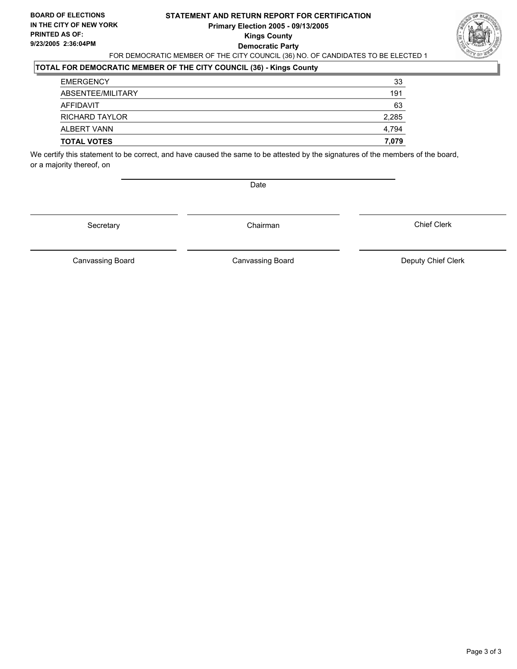### **STATEMENT AND RETURN REPORT FOR CERTIFICATION Primary Election 2005 - 09/13/2005 Kings County Democratic Party** FOR DEMOCRATIC MEMBER OF THE CITY COUNCIL (36) NO. OF CANDIDATES TO BE ELECTED 1



## **TOTAL FOR DEMOCRATIC MEMBER OF THE CITY COUNCIL (36) - Kings County**

| <b>EMERGENCY</b>      | 33    |
|-----------------------|-------|
| ABSENTEE/MILITARY     | 191   |
| AFFIDAVIT             | 63    |
| <b>RICHARD TAYLOR</b> | 2,285 |
| ALBERT VANN           | 4.794 |
| <b>TOTAL VOTES</b>    | 7,079 |

We certify this statement to be correct, and have caused the same to be attested by the signatures of the members of the board, or a majority thereof, on

Date

Secretary Chairman

Canvassing Board **Canvassing Board** Canvassing Board **Deputy Chief Clerk** 

Canvassing Board

Chief Clerk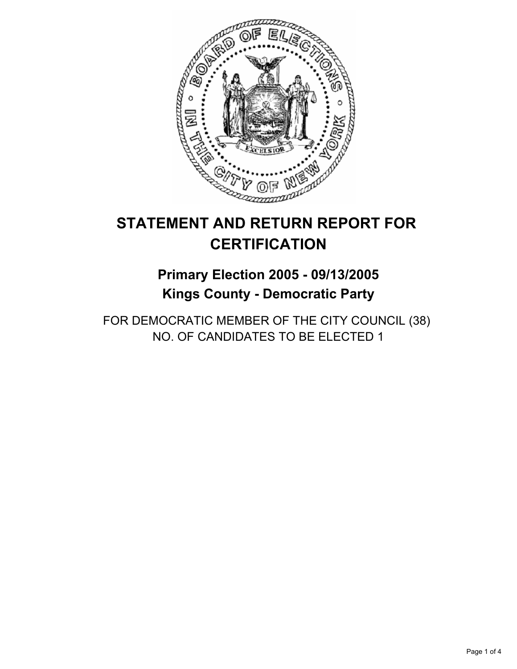

## **Primary Election 2005 - 09/13/2005 Kings County - Democratic Party**

FOR DEMOCRATIC MEMBER OF THE CITY COUNCIL (38) NO. OF CANDIDATES TO BE ELECTED 1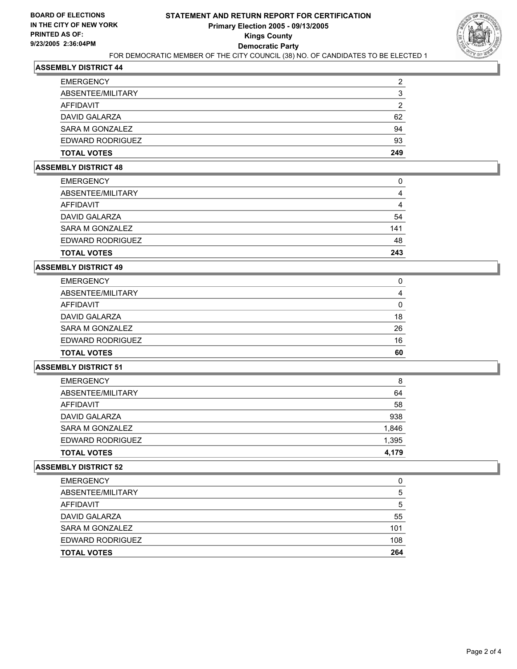

| <b>TOTAL VOTES</b> | 249 |
|--------------------|-----|
| EDWARD RODRIGUEZ   | 93  |
| SARA M GONZALEZ    | 94  |
| DAVID GALARZA      | 62  |
| AFFIDAVIT          | າ   |
| ABSENTEE/MILITARY  |     |
| <b>EMERGENCY</b>   | ◠   |

### **ASSEMBLY DISTRICT 48**

| <b>EMERGENCY</b>   | 0   |
|--------------------|-----|
| ABSENTEE/MILITARY  | 4   |
| AFFIDAVIT          | 4   |
| DAVID GALARZA      | 54  |
| SARA M GONZALEZ    | 141 |
| EDWARD RODRIGUEZ   | 48  |
| <b>TOTAL VOTES</b> | 243 |

#### **ASSEMBLY DISTRICT 49**

| <b>EMERGENCY</b>   |    |
|--------------------|----|
| ABSENTEE/MILITARY  |    |
| AFFIDAVIT          |    |
| DAVID GALARZA      | 18 |
| SARA M GONZALEZ    | 26 |
| EDWARD RODRIGUEZ   | 16 |
| <b>TOTAL VOTES</b> | 60 |

### **ASSEMBLY DISTRICT 51**

| <b>TOTAL VOTES</b> | 4,179 |
|--------------------|-------|
| EDWARD RODRIGUEZ   | 1,395 |
| SARA M GONZALEZ    | 1,846 |
| DAVID GALARZA      | 938   |
| AFFIDAVIT          | 58    |
| ABSENTEE/MILITARY  | 64    |
| <b>EMERGENCY</b>   | 8     |

| <b>EMERGENCY</b>   |     |
|--------------------|-----|
| ABSENTEE/MILITARY  | b   |
| <b>AFFIDAVIT</b>   | 5   |
| DAVID GALARZA      | 55  |
| SARA M GONZALEZ    | 101 |
| EDWARD RODRIGUEZ   | 108 |
| <b>TOTAL VOTES</b> | 264 |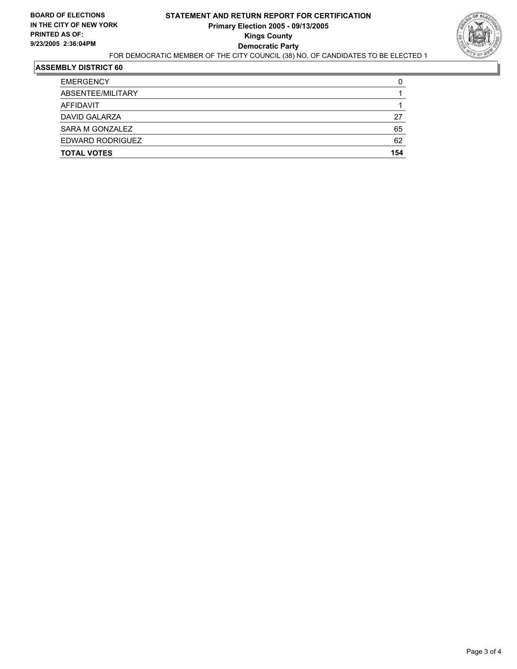

| <b>EMERGENCY</b>   | C   |
|--------------------|-----|
| ABSENTEE/MILITARY  |     |
| AFFIDAVIT          |     |
| DAVID GALARZA      | 27  |
| SARA M GONZALEZ    | 65  |
| EDWARD RODRIGUEZ   | 62  |
| <b>TOTAL VOTES</b> | 154 |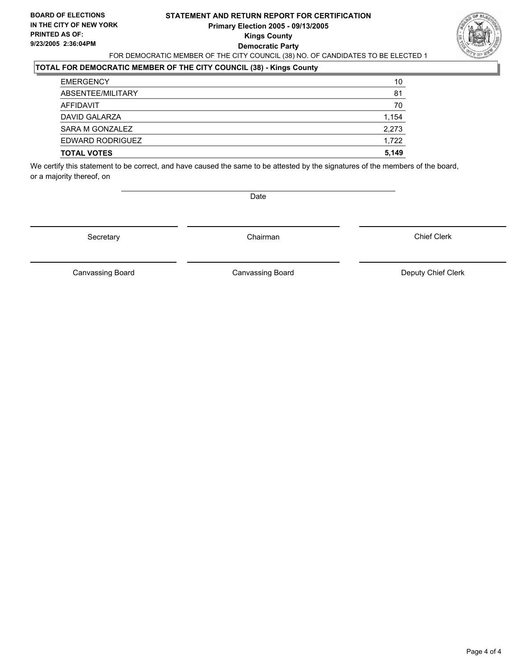### **STATEMENT AND RETURN REPORT FOR CERTIFICATION Primary Election 2005 - 09/13/2005 Kings County Democratic Party** FOR DEMOCRATIC MEMBER OF THE CITY COUNCIL (38) NO. OF CANDIDATES TO BE ELECTED 1



## **TOTAL FOR DEMOCRATIC MEMBER OF THE CITY COUNCIL (38) - Kings County**

| <b>EMERGENCY</b>   | 10    |
|--------------------|-------|
| ABSENTEE/MILITARY  | 81    |
| AFFIDAVIT          | 70    |
| DAVID GALARZA      | 1,154 |
| SARA M GONZALEZ    | 2,273 |
| EDWARD RODRIGUEZ   | 1,722 |
| <b>TOTAL VOTES</b> | 5,149 |

We certify this statement to be correct, and have caused the same to be attested by the signatures of the members of the board, or a majority thereof, on

Date

Secretary **Chairman** 

Chief Clerk

Canvassing Board **Canvassing Board** Canvassing Board **Deputy Chief Clerk** 

Canvassing Board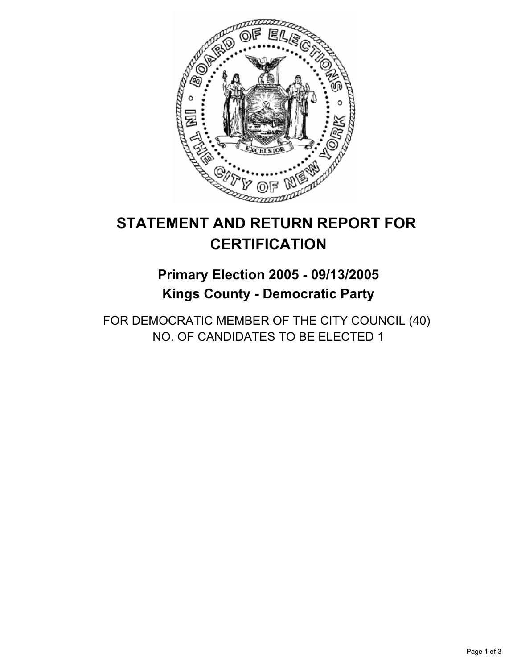

## **Primary Election 2005 - 09/13/2005 Kings County - Democratic Party**

FOR DEMOCRATIC MEMBER OF THE CITY COUNCIL (40) NO. OF CANDIDATES TO BE ELECTED 1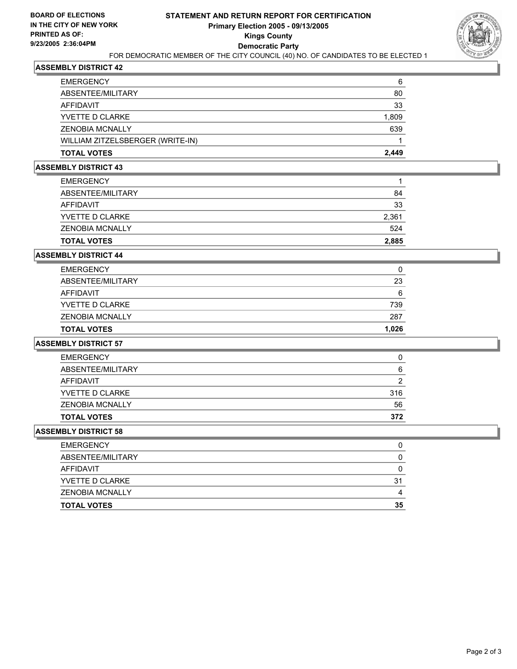

| 6     |
|-------|
| 80    |
| 33    |
| 1,809 |
| 639   |
|       |
| 2,449 |
|       |

#### **ASSEMBLY DISTRICT 43**

| <b>EMERGENCY</b>       |       |
|------------------------|-------|
| ABSENTEE/MILITARY      | 84    |
| AFFIDAVIT              | 33    |
| YVETTE D CLARKE        | 2,361 |
| <b>ZENOBIA MCNALLY</b> | 524   |
| <b>TOTAL VOTES</b>     | 2,885 |

### **ASSEMBLY DISTRICT 44**

| <b>TOTAL VOTES</b>     | 1,026 |
|------------------------|-------|
| <b>ZENOBIA MCNALLY</b> | 287   |
| YVETTE D CLARKE        | 739   |
| AFFIDAVIT              | 6     |
| ABSENTEE/MILITARY      | 23    |
| <b>EMERGENCY</b>       |       |

### **ASSEMBLY DISTRICT 57**

| <b>EMERGENCY</b>       |     |
|------------------------|-----|
| ABSENTEE/MILITARY      | 6   |
| AFFIDAVIT              | 2   |
| YVETTE D CLARKE        | 316 |
| <b>ZENOBIA MCNALLY</b> | 56  |
| <b>TOTAL VOTES</b>     | 372 |

| <b>TOTAL VOTES</b>     | 35 |
|------------------------|----|
| <b>ZENOBIA MCNALLY</b> |    |
| YVETTE D CLARKE        | 31 |
| AFFIDAVIT              |    |
| ABSENTEE/MILITARY      |    |
| <b>EMERGENCY</b>       |    |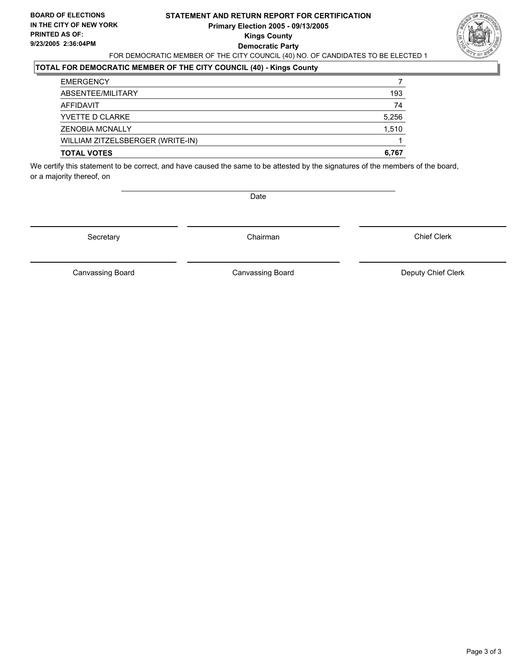### **STATEMENT AND RETURN REPORT FOR CERTIFICATION Primary Election 2005 - 09/13/2005 Kings County Democratic Party** FOR DEMOCRATIC MEMBER OF THE CITY COUNCIL (40) NO. OF CANDIDATES TO BE ELECTED 1



### **TOTAL FOR DEMOCRATIC MEMBER OF THE CITY COUNCIL (40) - Kings County**

| <b>EMERGENCY</b>                 |       |
|----------------------------------|-------|
| ABSENTEE/MILITARY                | 193   |
| AFFIDAVIT                        | 74    |
| YVETTE D CLARKE                  | 5,256 |
| <b>ZENOBIA MCNALLY</b>           | 1,510 |
| WILLIAM ZITZELSBERGER (WRITE-IN) |       |
| <b>TOTAL VOTES</b>               | 6,767 |

We certify this statement to be correct, and have caused the same to be attested by the signatures of the members of the board, or a majority thereof, on

Date

Secretary **Chairman** 

Chief Clerk

Canvassing Board **Canvassing Board** Canvassing Board **Deputy Chief Clerk** 

Canvassing Board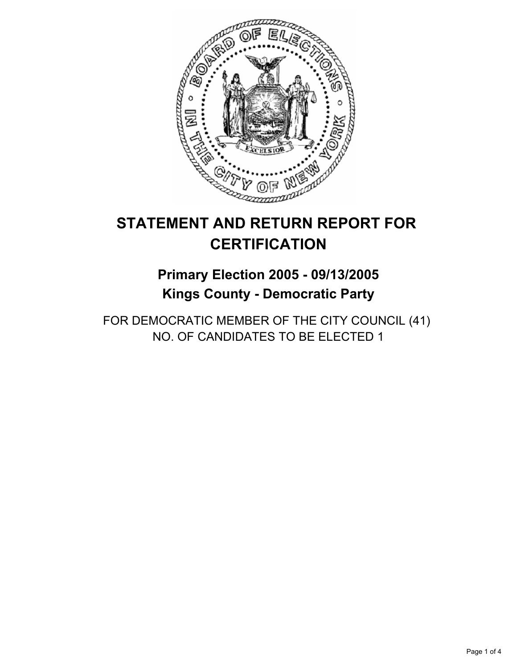

## **Primary Election 2005 - 09/13/2005 Kings County - Democratic Party**

FOR DEMOCRATIC MEMBER OF THE CITY COUNCIL (41) NO. OF CANDIDATES TO BE ELECTED 1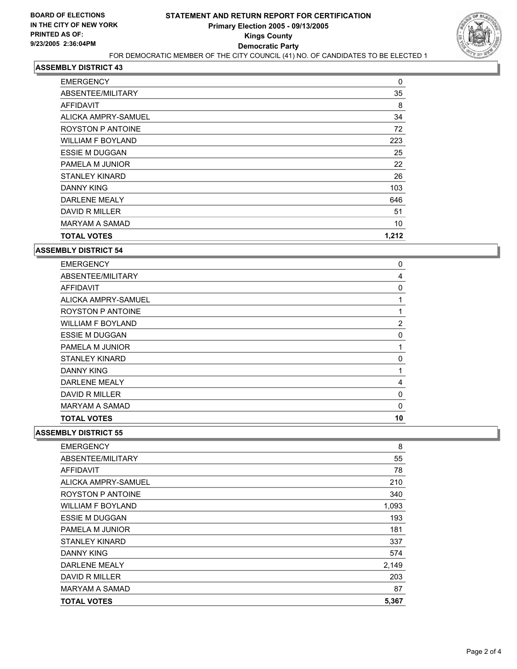

| <b>EMERGENCY</b>         | 0     |  |
|--------------------------|-------|--|
| ABSENTEE/MILITARY        | 35    |  |
| AFFIDAVIT                | 8     |  |
| ALICKA AMPRY-SAMUEL      | 34    |  |
| <b>ROYSTON P ANTOINE</b> | 72    |  |
| <b>WILLIAM F BOYLAND</b> | 223   |  |
| <b>ESSIE M DUGGAN</b>    | 25    |  |
| PAMELA M JUNIOR          | 22    |  |
| <b>STANLEY KINARD</b>    | 26    |  |
| DANNY KING               | 103   |  |
| <b>DARLENE MEALY</b>     | 646   |  |
| DAVID R MILLER           | 51    |  |
| MARYAM A SAMAD           | 10    |  |
| <b>TOTAL VOTES</b>       | 1,212 |  |

**ASSEMBLY DISTRICT 54**

| <b>EMERGENCY</b>         | 0           |
|--------------------------|-------------|
| ABSENTEE/MILITARY        | 4           |
| AFFIDAVIT                | 0           |
| ALICKA AMPRY-SAMUEL      |             |
| <b>ROYSTON P ANTOINE</b> |             |
| <b>WILLIAM F BOYLAND</b> | 2           |
| <b>ESSIE M DUGGAN</b>    | 0           |
| PAMELA M JUNIOR          |             |
| <b>STANLEY KINARD</b>    | 0           |
| <b>DANNY KING</b>        |             |
| <b>DARLENE MEALY</b>     | 4           |
| DAVID R MILLER           | $\mathbf 0$ |
| <b>MARYAM A SAMAD</b>    | 0           |
| <b>TOTAL VOTES</b>       | 10          |

| <b>EMERGENCY</b>         | 8     |
|--------------------------|-------|
| ABSENTEE/MILITARY        | 55    |
| <b>AFFIDAVIT</b>         | 78    |
| ALICKA AMPRY-SAMUEL      | 210   |
| ROYSTON P ANTOINE        | 340   |
| <b>WILLIAM F BOYLAND</b> | 1,093 |
| <b>ESSIE M DUGGAN</b>    | 193   |
| PAMELA M JUNIOR          | 181   |
| <b>STANLEY KINARD</b>    | 337   |
| DANNY KING               | 574   |
| <b>DARLENE MEALY</b>     | 2,149 |
| DAVID R MILLER           | 203   |
| <b>MARYAM A SAMAD</b>    | 87    |
| <b>TOTAL VOTES</b>       | 5,367 |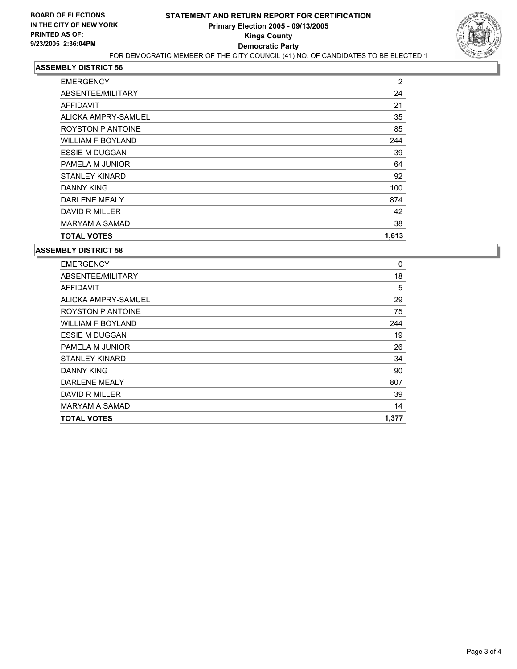

| <b>EMERGENCY</b>         | 2     |
|--------------------------|-------|
| ABSENTEE/MILITARY        | 24    |
| <b>AFFIDAVIT</b>         | 21    |
| ALICKA AMPRY-SAMUEL      | 35    |
| <b>ROYSTON P ANTOINE</b> | 85    |
| <b>WILLIAM F BOYLAND</b> | 244   |
| <b>ESSIE M DUGGAN</b>    | 39    |
| PAMELA M JUNIOR          | 64    |
| <b>STANLEY KINARD</b>    | 92    |
| <b>DANNY KING</b>        | 100   |
| <b>DARLENE MEALY</b>     | 874   |
| DAVID R MILLER           | 42    |
| <b>MARYAM A SAMAD</b>    | 38    |
| <b>TOTAL VOTES</b>       | 1,613 |

| <b>EMERGENCY</b>         | 0     |
|--------------------------|-------|
| ABSENTEE/MILITARY        | 18    |
| <b>AFFIDAVIT</b>         | 5     |
| ALICKA AMPRY-SAMUEL      | 29    |
| <b>ROYSTON P ANTOINE</b> | 75    |
| <b>WILLIAM F BOYLAND</b> | 244   |
| <b>ESSIE M DUGGAN</b>    | 19    |
| PAMELA M JUNIOR          | 26    |
| STANLEY KINARD           | 34    |
| <b>DANNY KING</b>        | 90    |
| <b>DARLENE MEALY</b>     | 807   |
| DAVID R MILLER           | 39    |
| <b>MARYAM A SAMAD</b>    | 14    |
| <b>TOTAL VOTES</b>       | 1,377 |
|                          |       |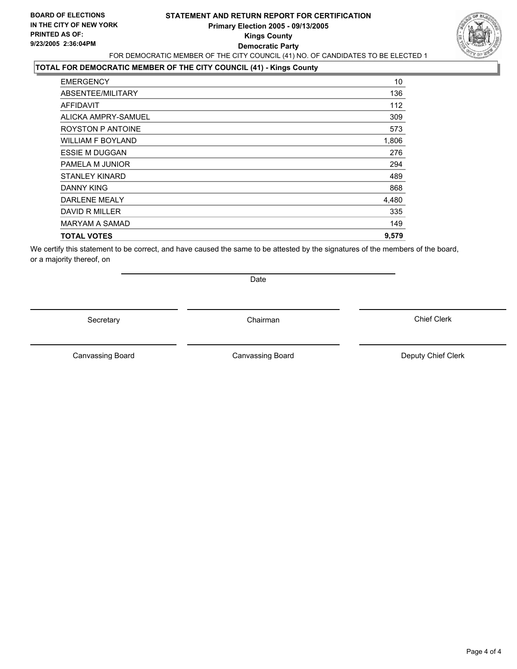### **STATEMENT AND RETURN REPORT FOR CERTIFICATION Primary Election 2005 - 09/13/2005 Kings County Democratic Party** FOR DEMOCRATIC MEMBER OF THE CITY COUNCIL (41) NO. OF CANDIDATES TO BE ELECTED 1



### **TOTAL FOR DEMOCRATIC MEMBER OF THE CITY COUNCIL (41) - Kings County**

| <b>TOTAL VOTES</b>       | 9,579 |
|--------------------------|-------|
| <b>MARYAM A SAMAD</b>    | 149   |
| DAVID R MILLER           | 335   |
| <b>DARLENE MEALY</b>     | 4,480 |
| DANNY KING               | 868   |
| <b>STANLEY KINARD</b>    | 489   |
| PAMELA M JUNIOR          | 294   |
| <b>ESSIE M DUGGAN</b>    | 276   |
| <b>WILLIAM F BOYLAND</b> | 1,806 |
| ROYSTON P ANTOINE        | 573   |
| ALICKA AMPRY-SAMUEL      | 309   |
| AFFIDAVIT                | 112   |
| ABSENTEE/MILITARY        | 136   |
| <b>EMERGENCY</b>         | 10    |

We certify this statement to be correct, and have caused the same to be attested by the signatures of the members of the board, or a majority thereof, on

Secretary **Chairman** 

Date

Canvassing Board **Canvassing Board** Canvassing Board **Deputy Chief Clerk** 

Canvassing Board

Chief Clerk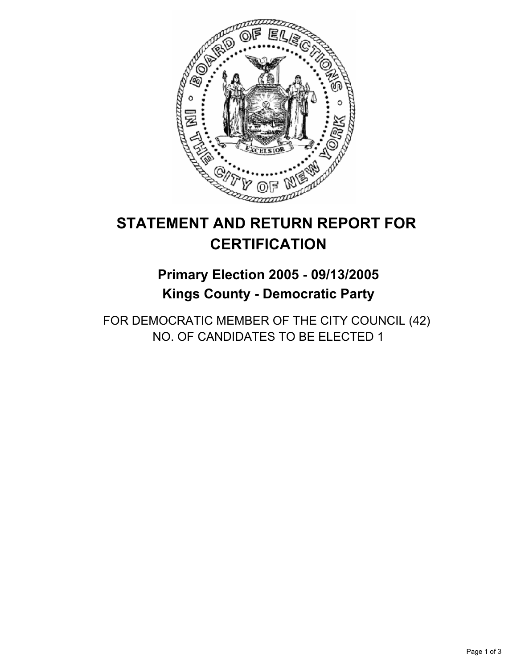

## **Primary Election 2005 - 09/13/2005 Kings County - Democratic Party**

FOR DEMOCRATIC MEMBER OF THE CITY COUNCIL (42) NO. OF CANDIDATES TO BE ELECTED 1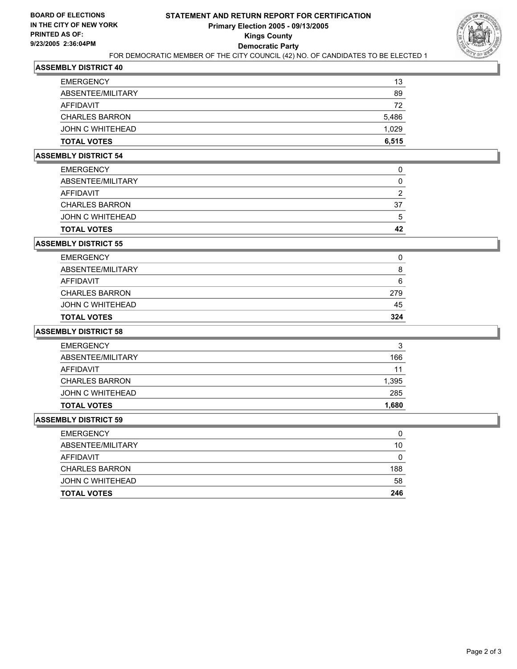

| <b>EMERGENCY</b>      | 13    |
|-----------------------|-------|
| ABSENTEE/MILITARY     | 89    |
| AFFIDAVIT             | 72    |
| <b>CHARLES BARRON</b> | 5,486 |
| JOHN C WHITEHEAD      | 1,029 |
| <b>TOTAL VOTES</b>    | 6,515 |

### **ASSEMBLY DISTRICT 54**

| <b>TOTAL VOTES</b>    | 42 |
|-----------------------|----|
| JOHN C WHITEHEAD      |    |
| <b>CHARLES BARRON</b> | 37 |
| AFFIDAVIT             |    |
| ABSENTEE/MILITARY     |    |
| <b>EMERGENCY</b>      |    |

### **ASSEMBLY DISTRICT 55**

| <b>TOTAL VOTES</b>    | 324 |
|-----------------------|-----|
| JOHN C WHITEHEAD      | 45  |
| <b>CHARLES BARRON</b> | 279 |
| AFFIDAVIT             | 6   |
| ABSENTEE/MILITARY     | 8   |
| <b>EMERGENCY</b>      | 0   |

### **ASSEMBLY DISTRICT 58**

| ີ<br>J |
|--------|
| 166    |
| 11     |
| 1,395  |
| 285    |
| 1,680  |
|        |

| <b>EMERGENCY</b>      | 0   |
|-----------------------|-----|
| ABSENTEE/MILITARY     | 10  |
| AFFIDAVIT             |     |
| <b>CHARLES BARRON</b> | 188 |
| JOHN C WHITEHEAD      | 58  |
| <b>TOTAL VOTES</b>    | 246 |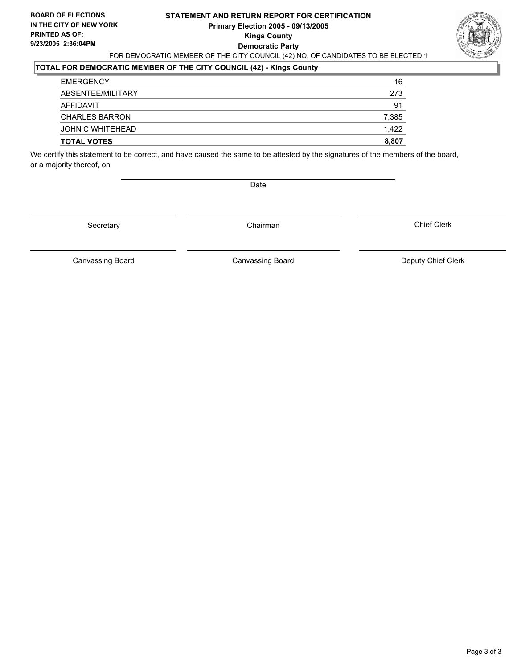### **STATEMENT AND RETURN REPORT FOR CERTIFICATION Primary Election 2005 - 09/13/2005 Kings County Democratic Party** FOR DEMOCRATIC MEMBER OF THE CITY COUNCIL (42) NO. OF CANDIDATES TO BE ELECTED 1



## **TOTAL FOR DEMOCRATIC MEMBER OF THE CITY COUNCIL (42) - Kings County**

| <b>TOTAL VOTES</b>    | 8,807 |
|-----------------------|-------|
| JOHN C WHITEHEAD      | 1.422 |
| <b>CHARLES BARRON</b> | 7,385 |
| AFFIDAVIT             | 91    |
| ABSENTEE/MILITARY     | 273   |
| <b>EMERGENCY</b>      | 16    |

We certify this statement to be correct, and have caused the same to be attested by the signatures of the members of the board, or a majority thereof, on

Date

Secretary Chairman

Canvassing Board **Canvassing Board** Canvassing Board **Deputy Chief Clerk** 

Canvassing Board

Chief Clerk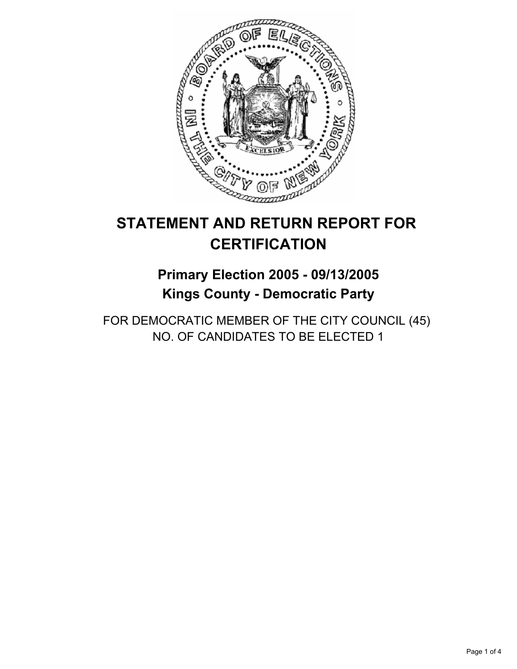

## **Primary Election 2005 - 09/13/2005 Kings County - Democratic Party**

FOR DEMOCRATIC MEMBER OF THE CITY COUNCIL (45) NO. OF CANDIDATES TO BE ELECTED 1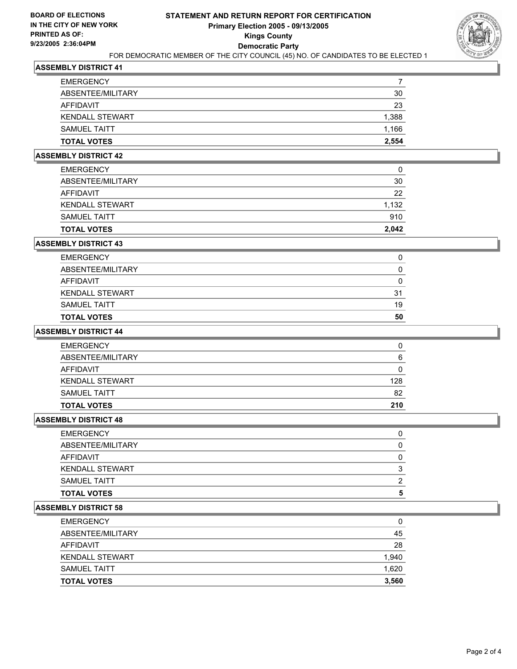

| <b>TOTAL VOTES</b>     | 2,554 |
|------------------------|-------|
| <b>SAMUEL TAITT</b>    | 1,166 |
| <b>KENDALL STEWART</b> | 1,388 |
| AFFIDAVIT              | 23    |
| ABSENTEE/MILITARY      | 30    |
| <b>EMERGENCY</b>       |       |

### **ASSEMBLY DISTRICT 42**

| <b>TOTAL VOTES</b>     | 2,042 |
|------------------------|-------|
| <b>SAMUEL TAITT</b>    | 910   |
| <b>KENDALL STEWART</b> | 1,132 |
| AFFIDAVIT              | 22    |
| ABSENTEE/MILITARY      | 30    |
| <b>EMERGENCY</b>       | 0     |

### **ASSEMBLY DISTRICT 43**

| <b>TOTAL VOTES</b>     | 50 |
|------------------------|----|
| SAMUEL TAITT           | 19 |
| <b>KENDALL STEWART</b> | 31 |
| AFFIDAVIT              |    |
| ABSENTEE/MILITARY      |    |
| <b>EMERGENCY</b>       |    |

### **ASSEMBLY DISTRICT 44**

| <b>EMERGENCY</b>       |     |
|------------------------|-----|
| ABSENTEE/MILITARY      | 6   |
| AFFIDAVIT              |     |
| <b>KENDALL STEWART</b> | 128 |
| <b>SAMUEL TAITT</b>    | 82  |
| <b>TOTAL VOTES</b>     | 210 |

### **ASSEMBLY DISTRICT 48**

| <b>EMERGENCY</b>   |  |
|--------------------|--|
| ABSENTEE/MILITARY  |  |
| AFFIDAVIT          |  |
| KENDALL STEWART    |  |
| SAMUEL TAITT       |  |
| <b>TOTAL VOTES</b> |  |

| <b>EMERGENCY</b>       | O     |
|------------------------|-------|
| ABSENTEE/MILITARY      | 45    |
| AFFIDAVIT              | 28    |
| <b>KENDALL STEWART</b> | 1,940 |
| <b>SAMUEL TAITT</b>    | 1,620 |
| <b>TOTAL VOTES</b>     | 3,560 |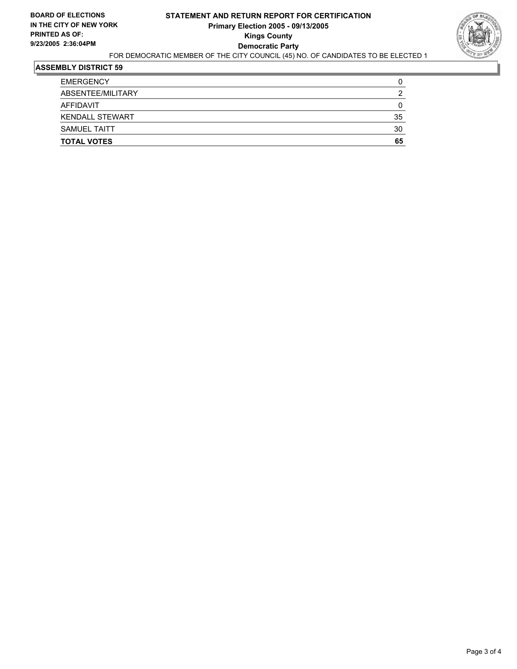

| <b>TOTAL VOTES</b>     | 65 |
|------------------------|----|
| <b>SAMUEL TAITT</b>    | 30 |
| <b>KENDALL STEWART</b> | 35 |
| AFFIDAVIT              |    |
| ABSENTEE/MILITARY      |    |
| <b>EMERGENCY</b>       |    |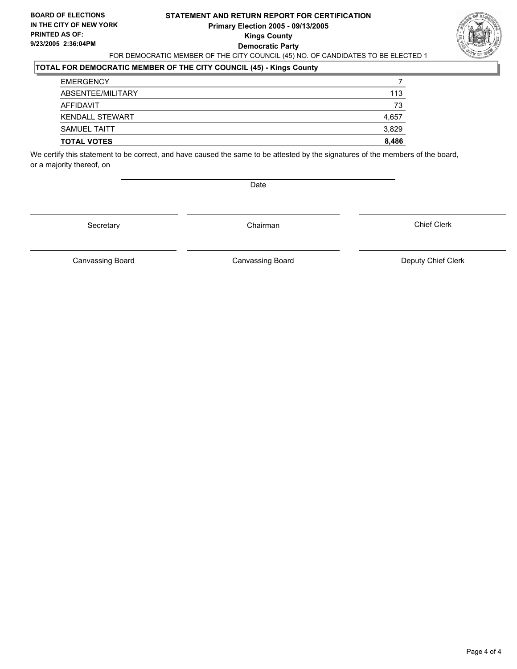### **STATEMENT AND RETURN REPORT FOR CERTIFICATION Primary Election 2005 - 09/13/2005 Kings County Democratic Party** FOR DEMOCRATIC MEMBER OF THE CITY COUNCIL (45) NO. OF CANDIDATES TO BE ELECTED 1



### **TOTAL FOR DEMOCRATIC MEMBER OF THE CITY COUNCIL (45) - Kings County**

| <b>TOTAL VOTES</b>     | 8,486 |
|------------------------|-------|
| <b>SAMUEL TAITT</b>    | 3,829 |
| <b>KENDALL STEWART</b> | 4,657 |
| AFFIDAVIT              | 73    |
| ABSENTEE/MILITARY      | 113   |
| <b>EMERGENCY</b>       |       |

We certify this statement to be correct, and have caused the same to be attested by the signatures of the members of the board, or a majority thereof, on

Date

Secretary Chairman

Canvassing Board **Canvassing Board** Canvassing Board **Deputy Chief Clerk** 

Canvassing Board

Chief Clerk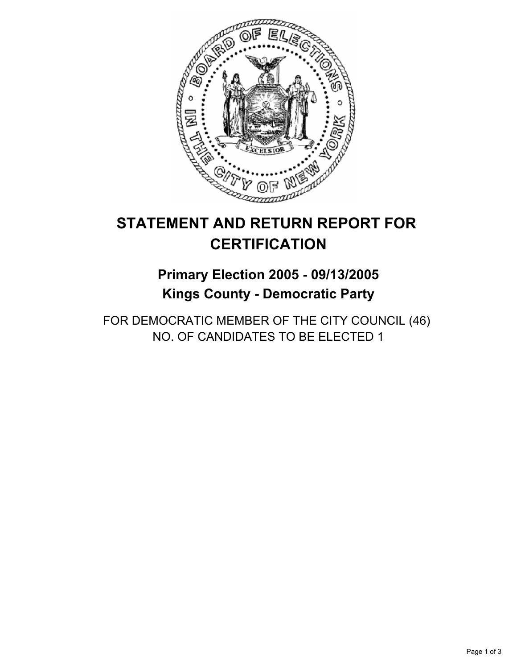

## **Primary Election 2005 - 09/13/2005 Kings County - Democratic Party**

FOR DEMOCRATIC MEMBER OF THE CITY COUNCIL (46) NO. OF CANDIDATES TO BE ELECTED 1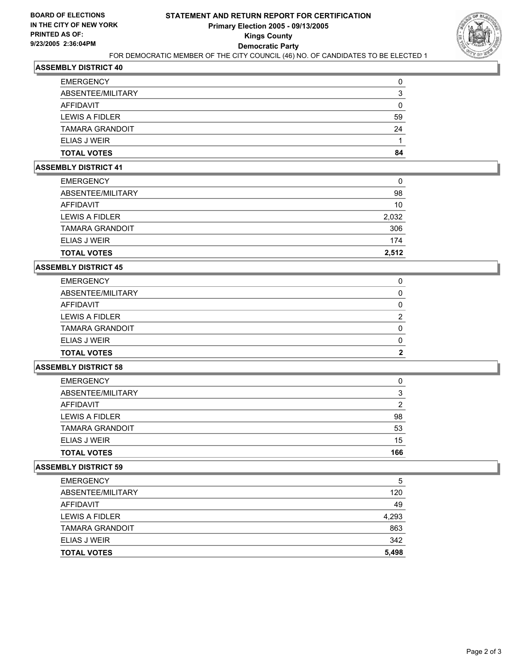

| ELIAS J WEIR           |    |
|------------------------|----|
| <b>TAMARA GRANDOIT</b> | 24 |
| LEWIS A FIDLER         | 59 |
| <b>AFFIDAVIT</b>       |    |
| ABSENTEE/MILITARY      |    |
| <b>EMERGENCY</b>       |    |

#### **ASSEMBLY DISTRICT 41**

| <b>TOTAL VOTES</b>     | 2,512 |
|------------------------|-------|
| <b>ELIAS J WEIR</b>    | 174   |
| <b>TAMARA GRANDOIT</b> | 306   |
| LEWIS A FIDLER         | 2,032 |
| AFFIDAVIT              | 10    |
| ABSENTEE/MILITARY      | 98    |
| <b>EMERGENCY</b>       | 0     |

#### **ASSEMBLY DISTRICT 45**

| <b>EMERGENCY</b>       |  |
|------------------------|--|
| ABSENTEE/MILITARY      |  |
| AFFIDAVIT              |  |
| LEWIS A FIDLER         |  |
| <b>TAMARA GRANDOIT</b> |  |
| <b>ELIAS J WEIR</b>    |  |
| <b>TOTAL VOTES</b>     |  |

### **ASSEMBLY DISTRICT 58**

| <b>EMERGENCY</b>       |     |
|------------------------|-----|
| ABSENTEE/MILITARY      |     |
| AFFIDAVIT              |     |
| LEWIS A FIDLER         | 98  |
| <b>TAMARA GRANDOIT</b> | 53  |
| ELIAS J WEIR           | 15  |
| <b>TOTAL VOTES</b>     | 166 |

| <b>EMERGENCY</b>       | 5     |
|------------------------|-------|
| ABSENTEE/MILITARY      | 120   |
| AFFIDAVIT              | 49    |
| LEWIS A FIDLER         | 4,293 |
| <b>TAMARA GRANDOIT</b> | 863   |
| <b>ELIAS J WEIR</b>    | 342   |
| <b>TOTAL VOTES</b>     | 5,498 |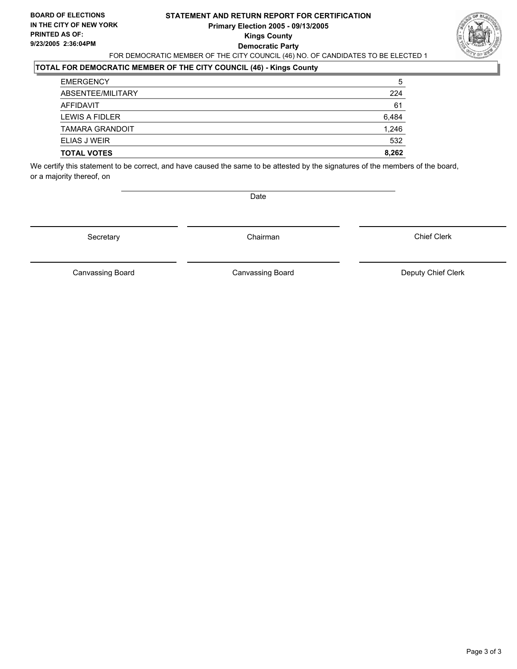### **STATEMENT AND RETURN REPORT FOR CERTIFICATION Primary Election 2005 - 09/13/2005 Kings County Democratic Party** FOR DEMOCRATIC MEMBER OF THE CITY COUNCIL (46) NO. OF CANDIDATES TO BE ELECTED 1



## **TOTAL FOR DEMOCRATIC MEMBER OF THE CITY COUNCIL (46) - Kings County**

| 5     |
|-------|
| 224   |
| 61    |
| 6,484 |
| 1,246 |
| 532   |
| 8,262 |
|       |

We certify this statement to be correct, and have caused the same to be attested by the signatures of the members of the board, or a majority thereof, on

Date

Secretary **Chairman** 

Chief Clerk

Canvassing Board **Canvassing Board** Canvassing Board **Deputy Chief Clerk** 

Canvassing Board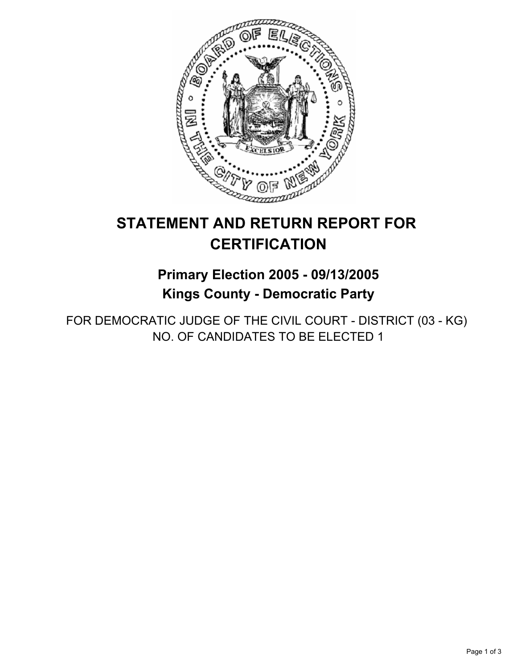

## **Primary Election 2005 - 09/13/2005 Kings County - Democratic Party**

FOR DEMOCRATIC JUDGE OF THE CIVIL COURT - DISTRICT (03 - KG) NO. OF CANDIDATES TO BE ELECTED 1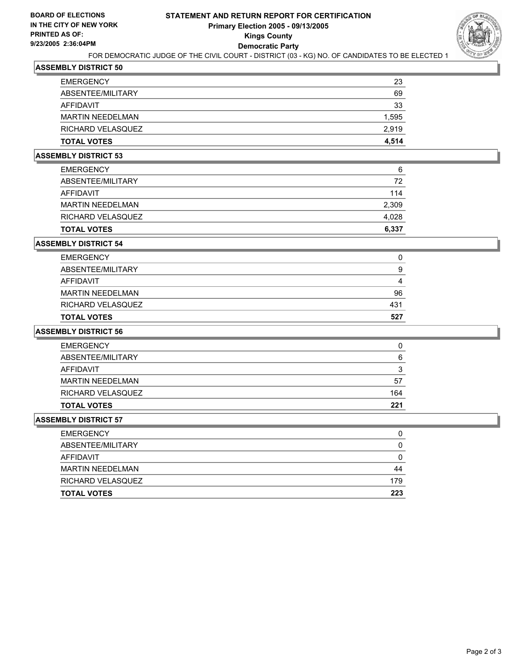

### FOR DEMOCRATIC JUDGE OF THE CIVIL COURT - DISTRICT (03 - KG) NO. OF CANDIDATES TO BE ELECTED 1

### **ASSEMBLY DISTRICT 50**

| <b>EMERGENCY</b>        | 23    |
|-------------------------|-------|
| ABSENTEE/MILITARY       | 69    |
| AFFIDAVIT               | 33    |
| <b>MARTIN NEEDELMAN</b> | 1,595 |
| RICHARD VELASQUEZ       | 2,919 |
| <b>TOTAL VOTES</b>      | 4,514 |

### **ASSEMBLY DISTRICT 53**

| <b>EMERGENCY</b>        | 6     |
|-------------------------|-------|
| ABSENTEE/MILITARY       | 72    |
| AFFIDAVIT               | 114   |
| <b>MARTIN NEEDELMAN</b> | 2,309 |
| RICHARD VELASQUEZ       | 4,028 |
| <b>TOTAL VOTES</b>      | 6,337 |

#### **ASSEMBLY DISTRICT 54**

| <b>TOTAL VOTES</b>      | 527 |
|-------------------------|-----|
| RICHARD VELASQUEZ       | 431 |
| <b>MARTIN NEEDELMAN</b> | 96  |
| AFFIDAVIT               |     |
| ABSENTEE/MILITARY       | g   |
| <b>EMERGENCY</b>        | U   |

### **ASSEMBLY DISTRICT 56**

| <b>EMERGENCY</b>        |     |
|-------------------------|-----|
| ABSENTEE/MILITARY       | 6   |
| AFFIDAVIT               |     |
| <b>MARTIN NEEDELMAN</b> | 57  |
| RICHARD VELASQUEZ       | 164 |
| <b>TOTAL VOTES</b>      | 221 |

| <b>EMERGENCY</b>        | U   |
|-------------------------|-----|
| ABSENTEE/MILITARY       |     |
| AFFIDAVIT               |     |
| <b>MARTIN NEEDELMAN</b> | 44  |
| RICHARD VELASQUEZ       | 179 |
| <b>TOTAL VOTES</b>      | 223 |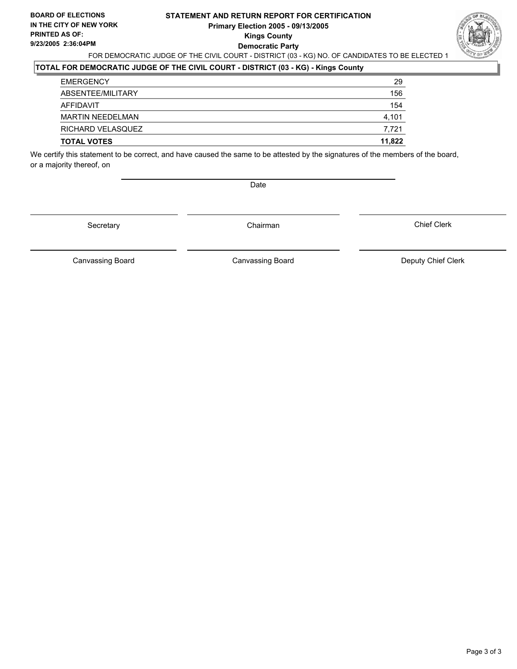### **STATEMENT AND RETURN REPORT FOR CERTIFICATION Primary Election 2005 - 09/13/2005 Kings County Democratic Party** FOR DEMOCRATIC JUDGE OF THE CIVIL COURT - DISTRICT (03 - KG) NO. OF CANDIDATES TO BE ELECTED 1



### **TOTAL FOR DEMOCRATIC JUDGE OF THE CIVIL COURT - DISTRICT (03 - KG) - Kings County**

| <b>TOTAL VOTES</b>      | 11,822 |
|-------------------------|--------|
| RICHARD VELASQUEZ       | 7,721  |
| <b>MARTIN NEEDELMAN</b> | 4,101  |
| AFFIDAVIT               | 154    |
| ABSENTEE/MILITARY       | 156    |
| <b>EMERGENCY</b>        | 29     |

We certify this statement to be correct, and have caused the same to be attested by the signatures of the members of the board, or a majority thereof, on

Date

Secretary Chairman

Chief Clerk

Canvassing Board

Canvassing Board **Canvassing Board** Canvassing Board **Deputy Chief Clerk**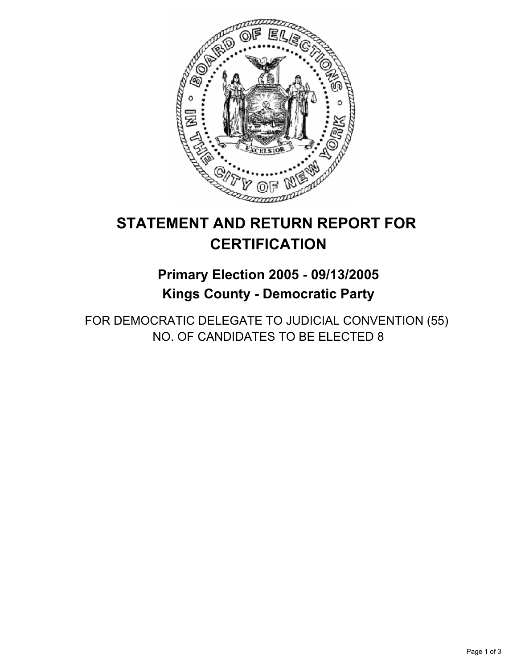

## **Primary Election 2005 - 09/13/2005 Kings County - Democratic Party**

FOR DEMOCRATIC DELEGATE TO JUDICIAL CONVENTION (55) NO. OF CANDIDATES TO BE ELECTED 8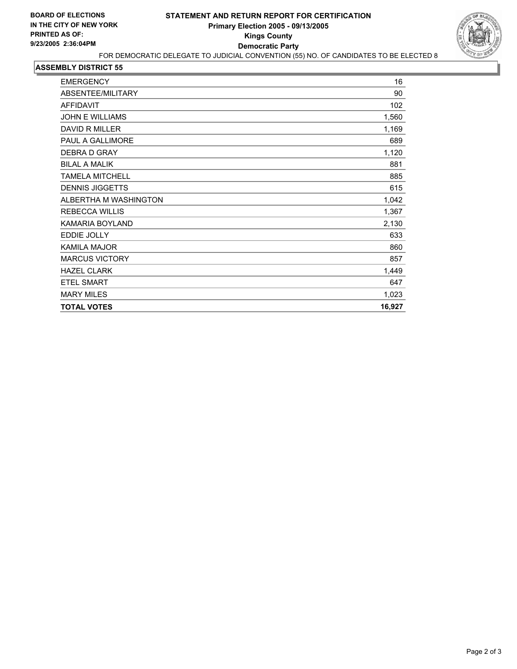

| <b>EMERGENCY</b>       | 16     |
|------------------------|--------|
| ABSENTEE/MILITARY      | 90     |
| <b>AFFIDAVIT</b>       | 102    |
| <b>JOHN E WILLIAMS</b> | 1,560  |
| <b>DAVID R MILLER</b>  | 1,169  |
| PAUL A GALLIMORE       | 689    |
| DEBRA D GRAY           | 1,120  |
| <b>BILAL A MALIK</b>   | 881    |
| <b>TAMELA MITCHELL</b> | 885    |
| <b>DENNIS JIGGETTS</b> | 615    |
| ALBERTHA M WASHINGTON  | 1,042  |
| <b>REBECCA WILLIS</b>  | 1,367  |
| KAMARIA BOYLAND        | 2,130  |
| <b>EDDIE JOLLY</b>     | 633    |
| <b>KAMILA MAJOR</b>    | 860    |
| <b>MARCUS VICTORY</b>  | 857    |
| <b>HAZEL CLARK</b>     | 1,449  |
| <b>ETEL SMART</b>      | 647    |
| <b>MARY MILES</b>      | 1,023  |
| <b>TOTAL VOTES</b>     | 16,927 |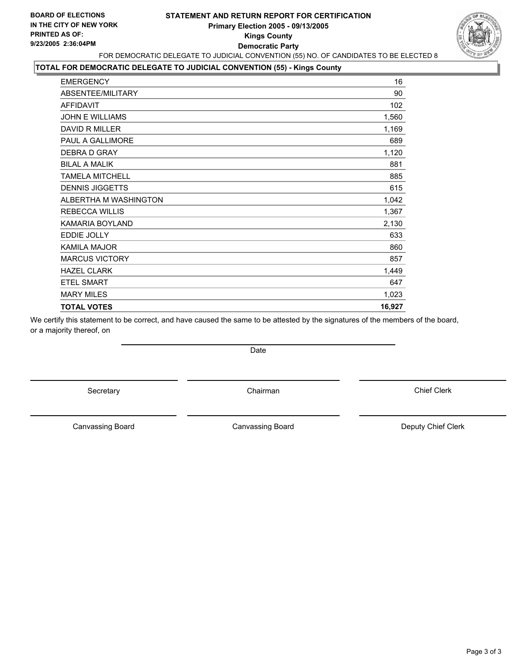

### **TOTAL FOR DEMOCRATIC DELEGATE TO JUDICIAL CONVENTION (55) - Kings County**

| <b>TOTAL VOTES</b>     | 16,927 |
|------------------------|--------|
| <b>MARY MILES</b>      | 1,023  |
| <b>ETEL SMART</b>      | 647    |
| <b>HAZEL CLARK</b>     | 1,449  |
| <b>MARCUS VICTORY</b>  | 857    |
| <b>KAMILA MAJOR</b>    | 860    |
| EDDIE JOLLY            | 633    |
| KAMARIA BOYLAND        | 2,130  |
| <b>REBECCA WILLIS</b>  | 1,367  |
| ALBERTHA M WASHINGTON  | 1,042  |
| <b>DENNIS JIGGETTS</b> | 615    |
| <b>TAMELA MITCHELL</b> | 885    |
| <b>BILAL A MALIK</b>   | 881    |
| DEBRA D GRAY           | 1,120  |
| PAUL A GALLIMORE       | 689    |
| DAVID R MILLER         | 1,169  |
| <b>JOHN E WILLIAMS</b> | 1,560  |
| <b>AFFIDAVIT</b>       | 102    |
| ABSENTEE/MILITARY      | 90     |
| <b>EMERGENCY</b>       | 16     |

We certify this statement to be correct, and have caused the same to be attested by the signatures of the members of the board, or a majority thereof, on

Secretary **Chairman** 

Canvassing Board

Canvassing Board **Canvassing Board** Canvassing Board **Deputy Chief Clerk** 

Page 3 of 3

Chief Clerk

Date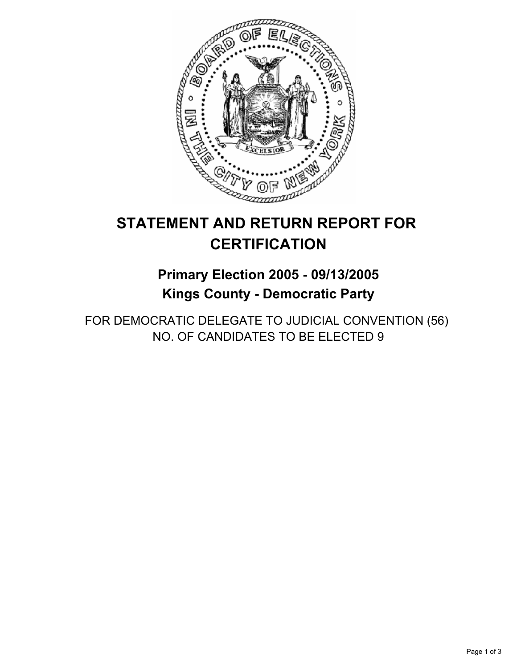

## **Primary Election 2005 - 09/13/2005 Kings County - Democratic Party**

FOR DEMOCRATIC DELEGATE TO JUDICIAL CONVENTION (56) NO. OF CANDIDATES TO BE ELECTED 9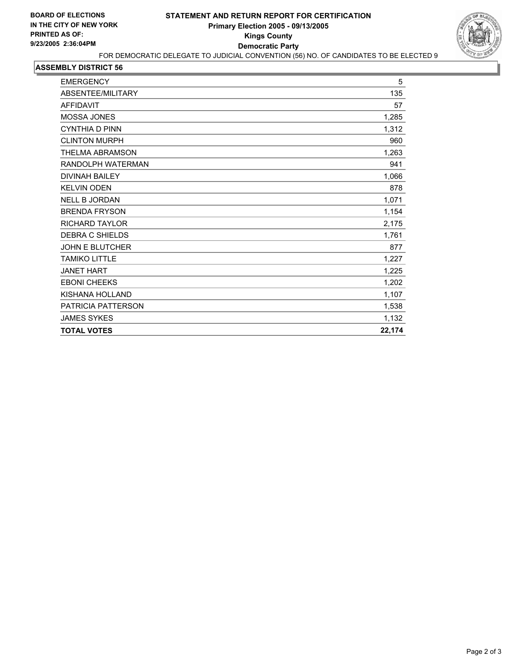

| <b>EMERGENCY</b>       | 5      |
|------------------------|--------|
| ABSENTEE/MILITARY      | 135    |
| <b>AFFIDAVIT</b>       | 57     |
| <b>MOSSA JONES</b>     | 1,285  |
| <b>CYNTHIA D PINN</b>  | 1,312  |
| <b>CLINTON MURPH</b>   | 960    |
| THELMA ABRAMSON        | 1,263  |
| RANDOLPH WATERMAN      | 941    |
| <b>DIVINAH BAILEY</b>  | 1,066  |
| <b>KELVIN ODEN</b>     | 878    |
| <b>NELL B JORDAN</b>   | 1,071  |
| <b>BRENDA FRYSON</b>   | 1,154  |
| <b>RICHARD TAYLOR</b>  | 2,175  |
| DEBRA C SHIELDS        | 1,761  |
| <b>JOHN E BLUTCHER</b> | 877    |
| <b>TAMIKO LITTLE</b>   | 1,227  |
| <b>JANET HART</b>      | 1,225  |
| <b>EBONI CHEEKS</b>    | 1,202  |
| KISHANA HOLLAND        | 1,107  |
| PATRICIA PATTERSON     | 1,538  |
| <b>JAMES SYKES</b>     | 1,132  |
| <b>TOTAL VOTES</b>     | 22,174 |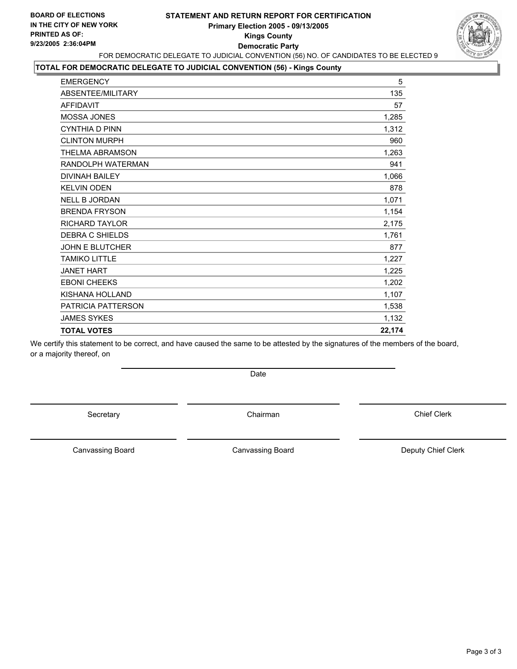

### **TOTAL FOR DEMOCRATIC DELEGATE TO JUDICIAL CONVENTION (56) - Kings County**

| <b>EMERGENCY</b>       | 5      |
|------------------------|--------|
| ABSENTEE/MILITARY      | 135    |
| <b>AFFIDAVIT</b>       | 57     |
| <b>MOSSA JONES</b>     | 1,285  |
| <b>CYNTHIA D PINN</b>  | 1,312  |
| <b>CLINTON MURPH</b>   | 960    |
| <b>THELMA ABRAMSON</b> | 1,263  |
| RANDOLPH WATERMAN      | 941    |
| <b>DIVINAH BAILEY</b>  | 1,066  |
| <b>KELVIN ODEN</b>     | 878    |
| <b>NELL B JORDAN</b>   | 1,071  |
| <b>BRENDA FRYSON</b>   | 1,154  |
| <b>RICHARD TAYLOR</b>  | 2,175  |
| <b>DEBRA C SHIELDS</b> | 1.761  |
| <b>JOHN E BLUTCHER</b> | 877    |
| <b>TAMIKO LITTLE</b>   | 1,227  |
| <b>JANET HART</b>      | 1,225  |
| <b>EBONI CHEEKS</b>    | 1,202  |
| KISHANA HOLLAND        | 1,107  |
| PATRICIA PATTERSON     | 1,538  |
| <b>JAMES SYKES</b>     | 1,132  |
| <b>TOTAL VOTES</b>     | 22,174 |
|                        |        |

We certify this statement to be correct, and have caused the same to be attested by the signatures of the members of the board, or a majority thereof, on

Date

Secretary **Chairman** 

Chief Clerk

Canvassing Board

Canvassing Board **Canvassing Board** Canvassing Board **Deputy Chief Clerk**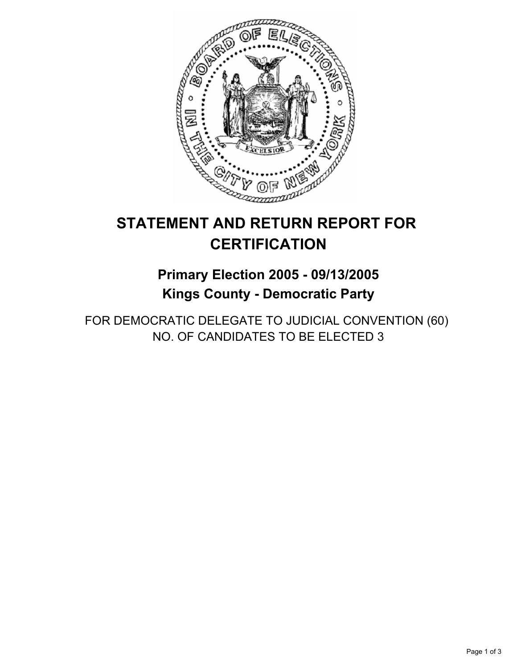

## **Primary Election 2005 - 09/13/2005 Kings County - Democratic Party**

FOR DEMOCRATIC DELEGATE TO JUDICIAL CONVENTION (60) NO. OF CANDIDATES TO BE ELECTED 3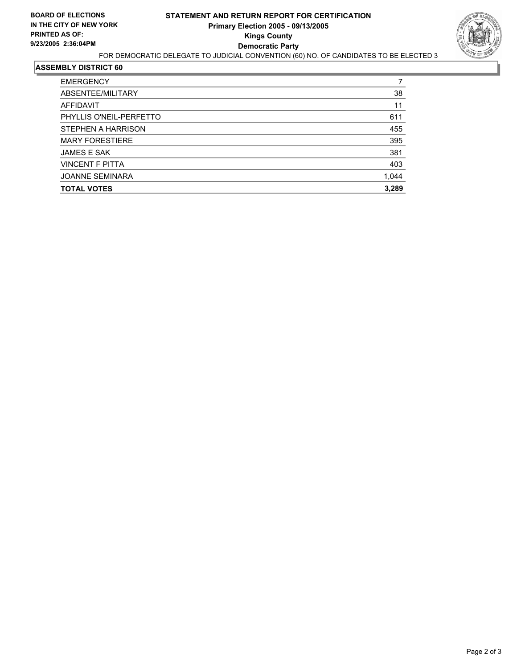

| <b>EMERGENCY</b>        |       |
|-------------------------|-------|
| ABSENTEE/MILITARY       | 38    |
| AFFIDAVIT               | 11    |
| PHYLLIS O'NEIL-PERFETTO | 611   |
| STEPHEN A HARRISON      | 455   |
| <b>MARY FORESTIERE</b>  | 395   |
| <b>JAMES E SAK</b>      | 381   |
| <b>VINCENT F PITTA</b>  | 403   |
| <b>JOANNE SEMINARA</b>  | 1,044 |
| <b>TOTAL VOTES</b>      | 3,289 |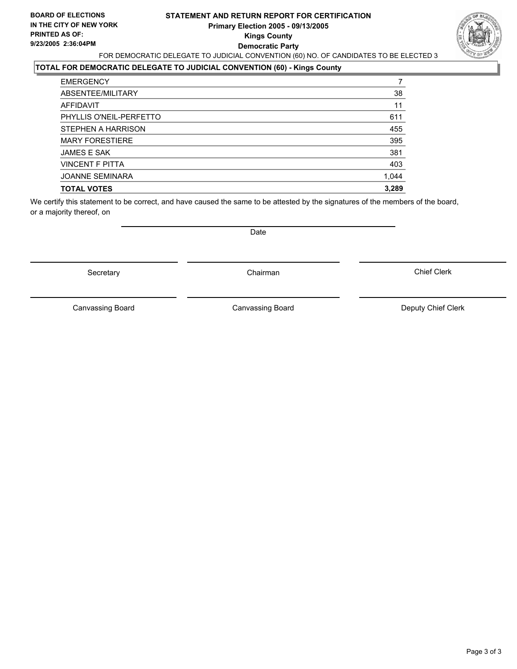#### **STATEMENT AND RETURN REPORT FOR CERTIFICATION Primary Election 2005 - 09/13/2005 Kings County Democratic Party** FOR DEMOCRATIC DELEGATE TO JUDICIAL CONVENTION (60) NO. OF CANDIDATES TO BE ELECTED 3

### **TOTAL FOR DEMOCRATIC DELEGATE TO JUDICIAL CONVENTION (60) - Kings County**

Secretary **Chairman** 

| <b>EMERGENCY</b>        |       |
|-------------------------|-------|
| ABSENTEE/MILITARY       | 38    |
| AFFIDAVIT               | 11    |
| PHYLLIS O'NEIL-PERFETTO | 611   |
| STEPHEN A HARRISON      | 455   |
| <b>MARY FORESTIERE</b>  | 395   |
| <b>JAMES E SAK</b>      | 381   |
| <b>VINCENT F PITTA</b>  | 403   |
| <b>JOANNE SEMINARA</b>  | 1,044 |
| <b>TOTAL VOTES</b>      | 3,289 |

We certify this statement to be correct, and have caused the same to be attested by the signatures of the members of the board, or a majority thereof, on

Canvassing Board **Canvassing Canvassing Board** Deputy Chief Clerk

Canvassing Board

Chief Clerk



Date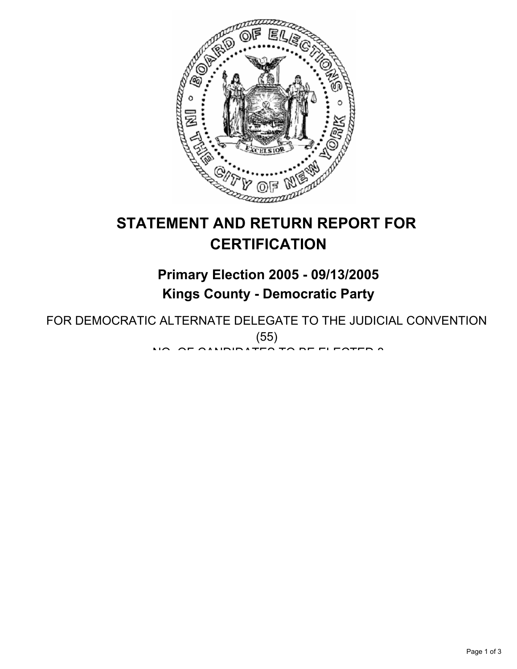

# **STATEMENT AND RETURN REPORT FOR CERTIFICATION**

# **Primary Election 2005 - 09/13/2005 Kings County - Democratic Party**

FOR DEMOCRATIC ALTERNATE DELEGATE TO THE JUDICIAL CONVENTION (55) NO. OF OILIDIDATES TO BE ELESTED 8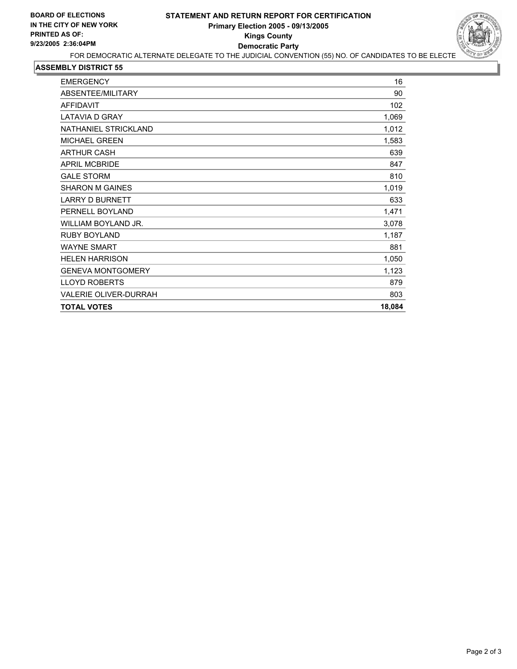

#### **ASSEMBLY DISTRICT 55**

| <b>EMERGENCY</b>             | 16     |
|------------------------------|--------|
| ABSENTEE/MILITARY            | 90     |
| <b>AFFIDAVIT</b>             | 102    |
| <b>LATAVIA D GRAY</b>        | 1,069  |
| NATHANIEL STRICKLAND         | 1,012  |
| <b>MICHAEL GREEN</b>         | 1,583  |
| <b>ARTHUR CASH</b>           | 639    |
| <b>APRIL MCBRIDE</b>         | 847    |
| <b>GALE STORM</b>            | 810    |
| <b>SHARON M GAINES</b>       | 1,019  |
| <b>LARRY D BURNETT</b>       | 633    |
| PERNELL BOYLAND              | 1,471  |
| WILLIAM BOYLAND JR.          | 3,078  |
| <b>RUBY BOYLAND</b>          | 1,187  |
| <b>WAYNE SMART</b>           | 881    |
| <b>HELEN HARRISON</b>        | 1,050  |
| <b>GENEVA MONTGOMERY</b>     | 1,123  |
| <b>LLOYD ROBERTS</b>         | 879    |
| <b>VALERIE OLIVER-DURRAH</b> | 803    |
| <b>TOTAL VOTES</b>           | 18,084 |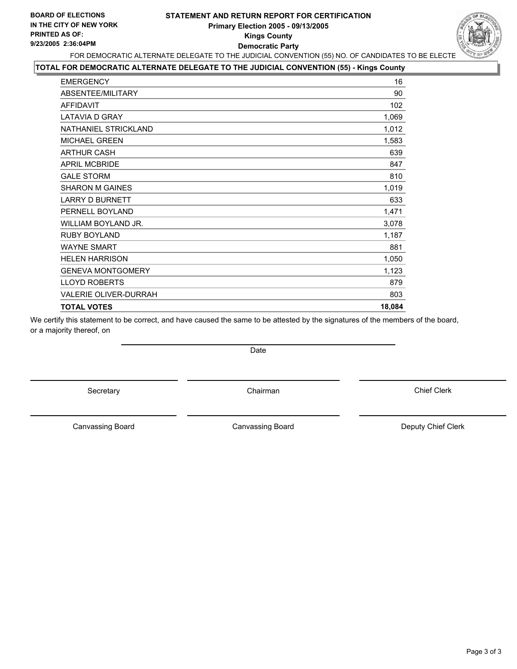### **STATEMENT AND RETURN REPORT FOR CERTIFICATION Primary Election 2005 - 09/13/2005 Kings County Democratic Party**



## FOR DEMOCRATIC ALTERNATE DELEGATE TO THE JUDICIAL CONVENTION (55) NO. OF CANDIDATES TO BE ELECTE

### **TOTAL FOR DEMOCRATIC ALTERNATE DELEGATE TO THE JUDICIAL CONVENTION (55) - Kings County**

| <b>EMERGENCY</b>             | 16     |
|------------------------------|--------|
| ABSENTEE/MILITARY            | 90     |
| <b>AFFIDAVIT</b>             | 102    |
| <b>LATAVIA D GRAY</b>        | 1,069  |
| NATHANIEL STRICKLAND         | 1,012  |
| <b>MICHAEL GREEN</b>         | 1,583  |
| <b>ARTHUR CASH</b>           | 639    |
| <b>APRIL MCBRIDE</b>         | 847    |
| <b>GALE STORM</b>            | 810    |
| <b>SHARON M GAINES</b>       | 1,019  |
| <b>LARRY D BURNETT</b>       | 633    |
| PERNELL BOYLAND              | 1,471  |
| WILLIAM BOYLAND JR.          | 3,078  |
| <b>RUBY BOYLAND</b>          | 1,187  |
| <b>WAYNE SMART</b>           | 881    |
| <b>HELEN HARRISON</b>        | 1,050  |
| <b>GENEVA MONTGOMERY</b>     | 1,123  |
| <b>LLOYD ROBERTS</b>         | 879    |
| <b>VALERIE OLIVER-DURRAH</b> | 803    |
| <b>TOTAL VOTES</b>           | 18,084 |
|                              |        |

We certify this statement to be correct, and have caused the same to be attested by the signatures of the members of the board, or a majority thereof, on

Secretary **Chairman** 

Date

Canvassing Board

Canvassing Board **Canvassing Canvassing Board** Deputy Chief Clerk

Chief Clerk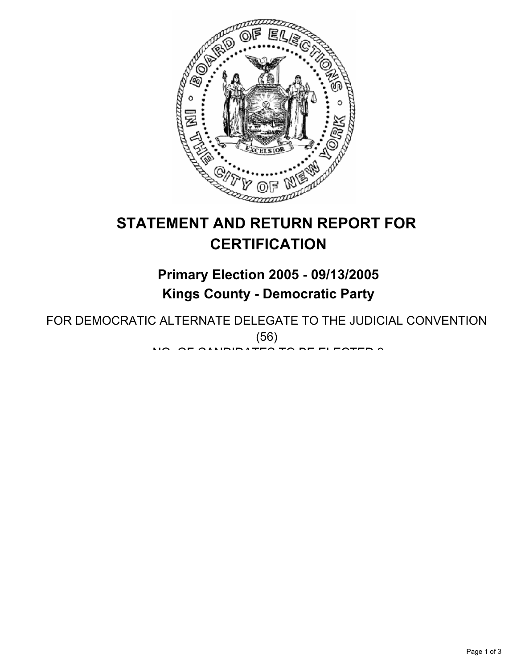

# **STATEMENT AND RETURN REPORT FOR CERTIFICATION**

# **Primary Election 2005 - 09/13/2005 Kings County - Democratic Party**

FOR DEMOCRATIC ALTERNATE DELEGATE TO THE JUDICIAL CONVENTION (56)  $\mathbf{M}$ . Of all protected to be elected  $\mathbf{M}$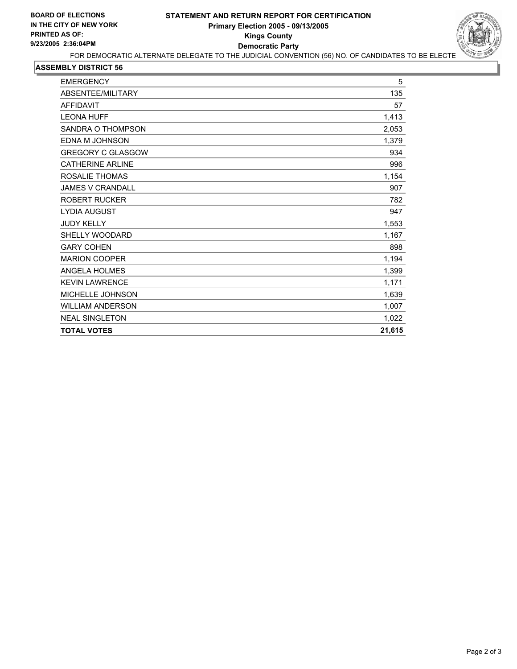

### **ASSEMBLY DISTRICT 56**

| <b>EMERGENCY</b>         | 5      |
|--------------------------|--------|
| ABSENTEE/MILITARY        | 135    |
| <b>AFFIDAVIT</b>         | 57     |
| <b>LEONA HUFF</b>        | 1,413  |
| SANDRA O THOMPSON        | 2,053  |
| EDNA M JOHNSON           | 1,379  |
| <b>GREGORY C GLASGOW</b> | 934    |
| <b>CATHERINE ARLINE</b>  | 996    |
| ROSALIE THOMAS           | 1,154  |
| <b>JAMES V CRANDALL</b>  | 907    |
| <b>ROBERT RUCKER</b>     | 782    |
| <b>LYDIA AUGUST</b>      | 947    |
| <b>JUDY KELLY</b>        | 1,553  |
| <b>SHELLY WOODARD</b>    | 1,167  |
| <b>GARY COHEN</b>        | 898    |
| <b>MARION COOPER</b>     | 1,194  |
| <b>ANGELA HOLMES</b>     | 1,399  |
| <b>KEVIN LAWRENCE</b>    | 1,171  |
| MICHELLE JOHNSON         | 1,639  |
| <b>WILLIAM ANDERSON</b>  | 1,007  |
| <b>NEAL SINGLETON</b>    | 1,022  |
| <b>TOTAL VOTES</b>       | 21,615 |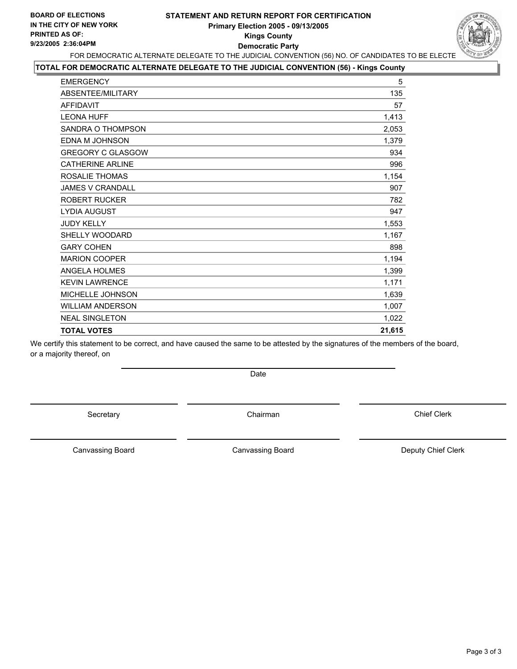### **STATEMENT AND RETURN REPORT FOR CERTIFICATION Primary Election 2005 - 09/13/2005 Kings County Democratic Party**



### FOR DEMOCRATIC ALTERNATE DELEGATE TO THE JUDICIAL CONVENTION (56) NO. OF CANDIDATES TO BE ELECTE **TOTAL FOR DEMOCRATIC ALTERNATE DELEGATE TO THE JUDICIAL CONVENTION (56) - Kings County**

| <b>EMERGENCY</b>         | 5      |
|--------------------------|--------|
| ABSENTEE/MILITARY        | 135    |
| <b>AFFIDAVIT</b>         | 57     |
| <b>LEONA HUFF</b>        | 1,413  |
| SANDRA O THOMPSON        | 2,053  |
| EDNA M JOHNSON           | 1,379  |
| <b>GREGORY C GLASGOW</b> | 934    |
| <b>CATHERINE ARLINE</b>  | 996    |
| ROSALIE THOMAS           | 1,154  |
| <b>JAMES V CRANDALL</b>  | 907    |
| <b>ROBERT RUCKER</b>     | 782    |
| <b>LYDIA AUGUST</b>      | 947    |
| <b>JUDY KELLY</b>        | 1,553  |
| SHELLY WOODARD           | 1,167  |
| <b>GARY COHEN</b>        | 898    |
| <b>MARION COOPER</b>     | 1,194  |
| ANGELA HOLMES            | 1,399  |
| <b>KEVIN LAWRENCE</b>    | 1,171  |
| MICHELLE JOHNSON         | 1,639  |
| <b>WILLIAM ANDERSON</b>  | 1,007  |
| <b>NEAL SINGLETON</b>    | 1,022  |
| <b>TOTAL VOTES</b>       | 21,615 |

We certify this statement to be correct, and have caused the same to be attested by the signatures of the members of the board, or a majority thereof, on

Date

Secretary **Chairman** 

Chief Clerk

Canvassing Board

Canvassing Board **Canvassing Canvassing Board** Deputy Chief Clerk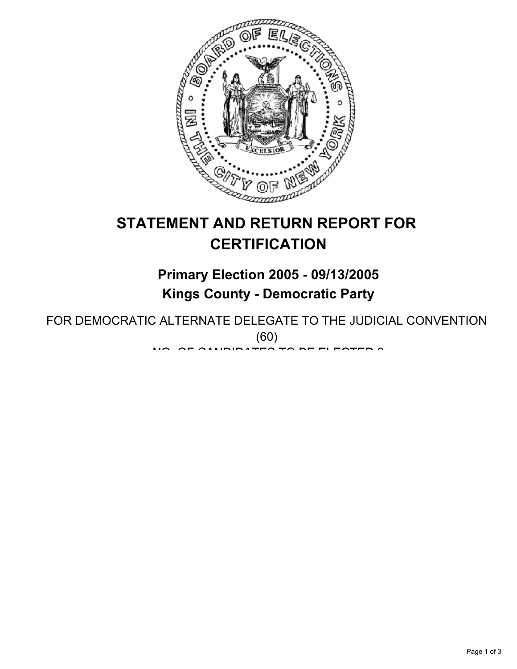

# **STATEMENT AND RETURN REPORT FOR CERTIFICATION**

# **Primary Election 2005 - 09/13/2005 Kings County - Democratic Party**

FOR DEMOCRATIC ALTERNATE DELEGATE TO THE JUDICIAL CONVENTION (60) NO. OF OILIDIDATES TO BE ELESTED 3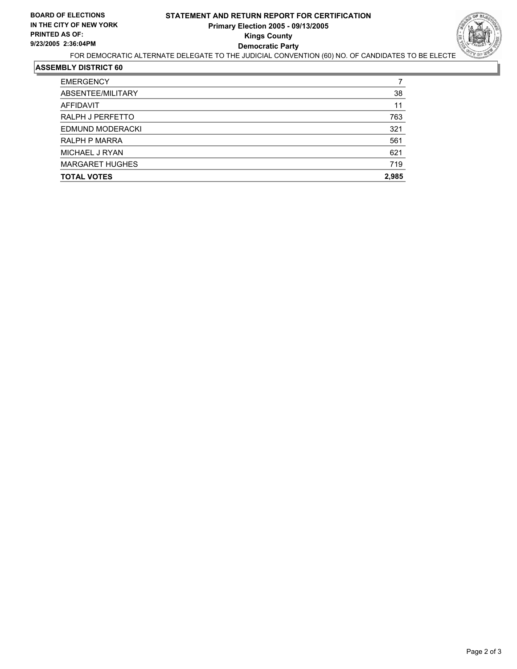

#### **ASSEMBLY DISTRICT 60**

| <b>EMERGENCY</b>       |       |
|------------------------|-------|
| ABSENTEE/MILITARY      | 38    |
| AFFIDAVIT              | 11    |
| RALPH J PERFETTO       | 763   |
| EDMUND MODERACKI       | 321   |
| <b>RALPH P MARRA</b>   | 561   |
| MICHAEL J RYAN         | 621   |
| <b>MARGARET HUGHES</b> | 719   |
| <b>TOTAL VOTES</b>     | 2,985 |